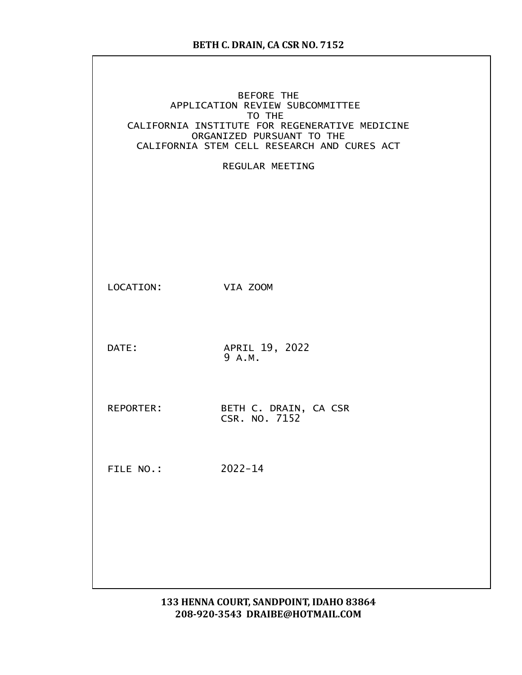|           | <b>BEFORE THE</b><br>APPLICATION REVIEW SUBCOMMITTEE<br>TO THE<br>CALIFORNIA INSTITUTE FOR REGENERATIVE MEDICINE<br>ORGANIZED PURSUANT TO THE<br>CALIFORNIA STEM CELL RESEARCH AND CURES ACT<br>REGULAR MEETING |
|-----------|-----------------------------------------------------------------------------------------------------------------------------------------------------------------------------------------------------------------|
| LOCATION: | VIA ZOOM                                                                                                                                                                                                        |
| DATE:     | APRIL 19, 2022<br>9 A.M.                                                                                                                                                                                        |
| REPORTER: | BETH C. DRAIN, CA CSR<br>CSR. NO. 7152                                                                                                                                                                          |
| FILE NO.: | $2022 - 14$                                                                                                                                                                                                     |
|           |                                                                                                                                                                                                                 |
|           |                                                                                                                                                                                                                 |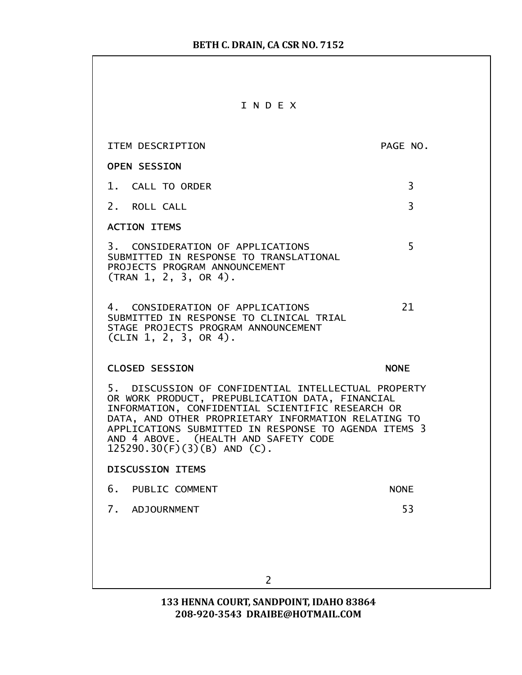|--|--|--|--|--|--|

| ITEM DESCRIPTION                                                                                                                                                                                                                                                                                                                                   | PAGE NO.       |  |
|----------------------------------------------------------------------------------------------------------------------------------------------------------------------------------------------------------------------------------------------------------------------------------------------------------------------------------------------------|----------------|--|
| <b>OPEN SESSION</b>                                                                                                                                                                                                                                                                                                                                |                |  |
| 1. CALL TO ORDER                                                                                                                                                                                                                                                                                                                                   | $\overline{3}$ |  |
| 2. ROLL CALL                                                                                                                                                                                                                                                                                                                                       | 3              |  |
| <b>ACTION ITEMS</b>                                                                                                                                                                                                                                                                                                                                |                |  |
| 3. CONSIDERATION OF APPLICATIONS<br>SUBMITTED IN RESPONSE TO TRANSLATIONAL<br>PROJECTS PROGRAM ANNOUNCEMENT<br>(TRAN 1, 2, 3, OR 4).                                                                                                                                                                                                               | 5              |  |
| 4. CONSIDERATION OF APPLICATIONS<br>SUBMITTED IN RESPONSE TO CLINICAL TRIAL<br>STAGE PROJECTS PROGRAM ANNOUNCEMENT<br>$CLIN$ 1, 2, 3, OR 4).                                                                                                                                                                                                       | 21             |  |
| <b>CLOSED SESSION</b><br><b>NONE</b>                                                                                                                                                                                                                                                                                                               |                |  |
| 5. DISCUSSION OF CONFIDENTIAL INTELLECTUAL PROPERTY<br>OR WORK PRODUCT, PREPUBLICATION DATA, FINANCIAL<br>INFORMATION, CONFIDENTIAL SCIENTIFIC RESEARCH OR<br>DATA, AND OTHER PROPRIETARY INFORMATION RELATING TO<br>APPLICATIONS SUBMITTED IN RESPONSE TO AGENDA ITEMS 3<br>AND 4 ABOVE. (HEALTH AND SAFETY CODE<br>$125290.30(F)(3)(B)$ AND (C). |                |  |
| <b>DISCUSSION ITEMS</b>                                                                                                                                                                                                                                                                                                                            |                |  |
| 6. PUBLIC COMMENT                                                                                                                                                                                                                                                                                                                                  | <b>NONE</b>    |  |
| 7.<br><b>ADJOURNMENT</b>                                                                                                                                                                                                                                                                                                                           | 53             |  |
| 2                                                                                                                                                                                                                                                                                                                                                  |                |  |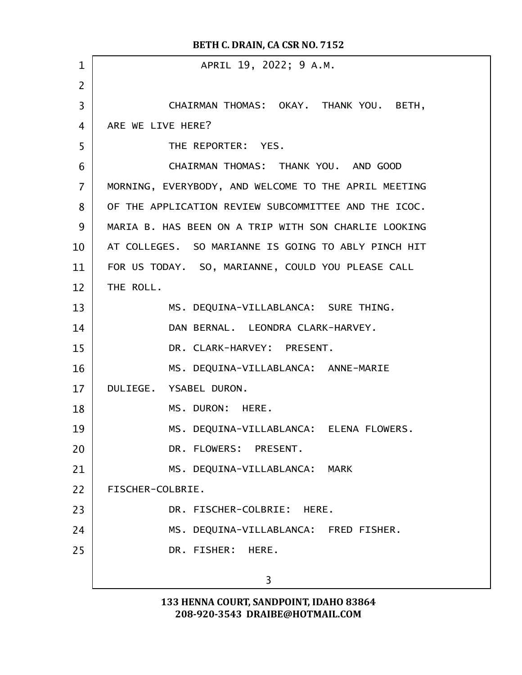APRIL 19, 2022; 9 A.M. CHAIRMAN THOMAS: OKAY. THANK YOU. BETH, ARE WE LIVE HERE? THE REPORTER: YES. CHAIRMAN THOMAS: THANK YOU. AND GOOD MORNING, EVERYBODY, AND WELCOME TO THE APRIL MEETING OF THE APPLICATION REVIEW SUBCOMMITTEE AND THE ICOC. MARIA B. HAS BEEN ON A TRIP WITH SON CHARLIE LOOKING AT COLLEGES. SO MARIANNE IS GOING TO ABLY PINCH HIT FOR US TODAY. SO, MARIANNE, COULD YOU PLEASE CALL THE ROLL. MS. DEQUINA-VILLABLANCA: SURE THING. DAN BERNAL. LEONDRA CLARK-HARVEY. DR. CLARK-HARVEY: PRESENT. MS. DEQUINA-VILLABLANCA: ANNE-MARIE DULIEGE. YSABEL DURON. MS. DURON: HERE. MS. DEQUINA-VILLABLANCA: ELENA FLOWERS. DR. FLOWERS: PRESENT. MS. DEQUINA-VILLABLANCA: MARK FISCHER-COLBRIE. DR. FISCHER-COLBRIE: HERE. MS. DEQUINA-VILLABLANCA: FRED FISHER. DR. FISHER: HERE. 3 BETH C. DRAIN, CA CSR NO. 7152 1 2 3 4 5 6 7 8  $\mathbf{q}$ 10 11 12 13 14 15 16 17 18 19 20 21 22 23 24 25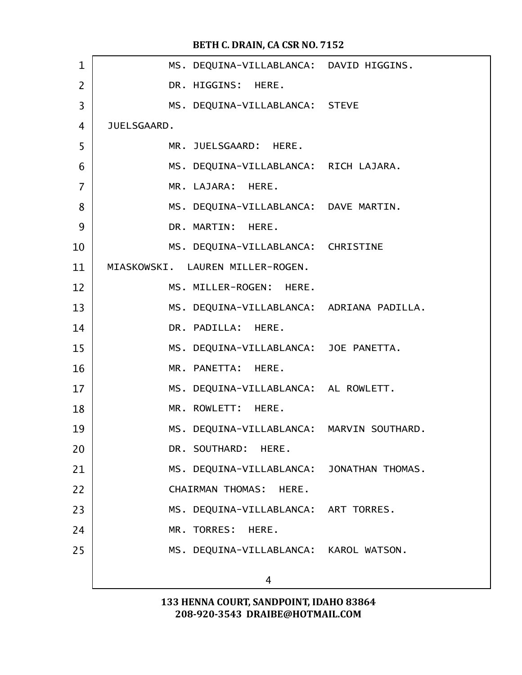| $\mathbf 1$    | MS. DEQUINA-VILLABLANCA: DAVID HIGGINS.   |  |
|----------------|-------------------------------------------|--|
| $\overline{2}$ | DR. HIGGINS: HERE.                        |  |
| 3              | MS. DEQUINA-VILLABLANCA: STEVE            |  |
| $\overline{4}$ | JUELSGAARD.                               |  |
| 5              | MR. JUELSGAARD: HERE.                     |  |
| 6              | MS. DEQUINA-VILLABLANCA: RICH LAJARA.     |  |
| $\overline{7}$ | MR. LAJARA: HERE.                         |  |
| 8              | MS. DEQUINA-VILLABLANCA: DAVE MARTIN.     |  |
| 9              | DR. MARTIN: HERE.                         |  |
| 10             | MS. DEQUINA-VILLABLANCA: CHRISTINE        |  |
| 11             | MIASKOWSKI. LAUREN MILLER-ROGEN.          |  |
| 12             | MS. MILLER-ROGEN: HERE.                   |  |
| 13             | MS. DEQUINA-VILLABLANCA: ADRIANA PADILLA. |  |
| 14             | DR. PADILLA: HERE.                        |  |
| 15             | MS. DEQUINA-VILLABLANCA: JOE PANETTA.     |  |
| 16             | MR. PANETTA: HERE.                        |  |
| 17             | MS. DEQUINA-VILLABLANCA: AL ROWLETT.      |  |
| 18             | MR. ROWLETT: HERE.                        |  |
| 19             | MS. DEQUINA-VILLABLANCA: MARVIN SOUTHARD. |  |
| 20             | DR. SOUTHARD: HERE.                       |  |
| 21             | MS. DEQUINA-VILLABLANCA: JONATHAN THOMAS. |  |
| 22             | <b>CHAIRMAN THOMAS:</b><br>HERE.          |  |
| 23             | MS. DEQUINA-VILLABLANCA: ART TORRES.      |  |
| 24             | MR. TORRES: HERE.                         |  |
| 25             | MS. DEQUINA-VILLABLANCA: KAROL WATSON.    |  |
|                | 4                                         |  |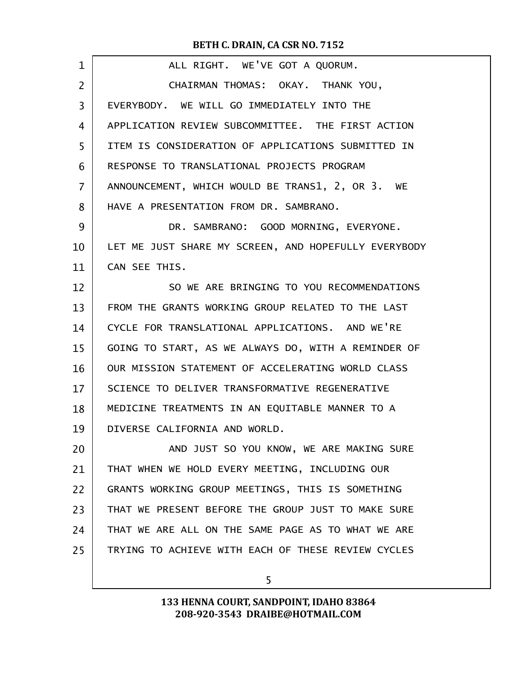| $\mathbf{1}$      | ALL RIGHT. WE'VE GOT A QUORUM.                       |
|-------------------|------------------------------------------------------|
| 2                 | CHAIRMAN THOMAS: OKAY. THANK YOU,                    |
| 3                 | EVERYBODY. WE WILL GO IMMEDIATELY INTO THE           |
| 4                 | APPLICATION REVIEW SUBCOMMITTEE. THE FIRST ACTION    |
| 5                 | ITEM IS CONSIDERATION OF APPLICATIONS SUBMITTED IN   |
| 6                 | RESPONSE TO TRANSLATIONAL PROJECTS PROGRAM           |
| $\overline{7}$    | ANNOUNCEMENT, WHICH WOULD BE TRANS1, 2, OR 3. WE     |
| 8                 | HAVE A PRESENTATION FROM DR. SAMBRANO.               |
| 9                 | DR. SAMBRANO: GOOD MORNING, EVERYONE.                |
| 10                | LET ME JUST SHARE MY SCREEN, AND HOPEFULLY EVERYBODY |
| 11                | CAN SEE THIS.                                        |
| $12 \overline{ }$ | SO WE ARE BRINGING TO YOU RECOMMENDATIONS            |
| 13                | FROM THE GRANTS WORKING GROUP RELATED TO THE LAST    |
| 14                | CYCLE FOR TRANSLATIONAL APPLICATIONS. AND WE'RE      |
| 15                | GOING TO START, AS WE ALWAYS DO, WITH A REMINDER OF  |
| 16                | OUR MISSION STATEMENT OF ACCELERATING WORLD CLASS    |
| 17                | SCIENCE TO DELIVER TRANSFORMATIVE REGENERATIVE       |
| 18                | MEDICINE TREATMENTS IN AN EQUITABLE MANNER TO A      |
| 19                | DIVERSE CALIFORNIA AND WORLD.                        |
| 20                | AND JUST SO YOU KNOW, WE ARE MAKING SURE             |
| 21                | THAT WHEN WE HOLD EVERY MEETING, INCLUDING OUR       |
| 22                | GRANTS WORKING GROUP MEETINGS, THIS IS SOMETHING     |
| 23                | THAT WE PRESENT BEFORE THE GROUP JUST TO MAKE SURE   |
| 24                | THAT WE ARE ALL ON THE SAME PAGE AS TO WHAT WE ARE   |
| 25                | TRYING TO ACHIEVE WITH EACH OF THESE REVIEW CYCLES   |
|                   |                                                      |

5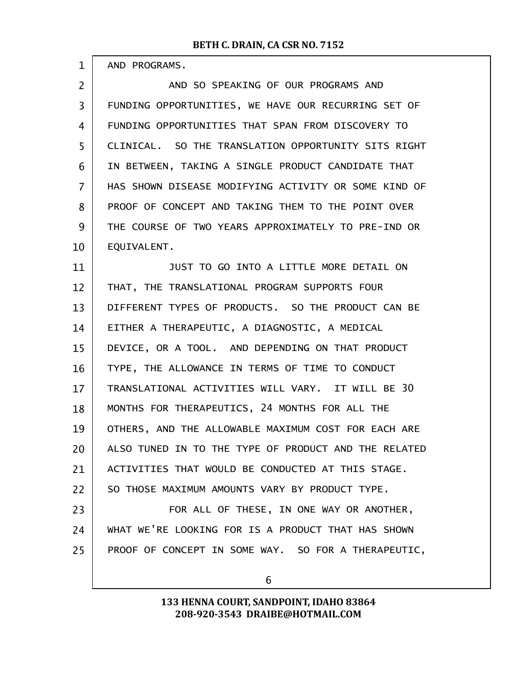| AND PROGRAMS. |
|---------------|
|---------------|

1

AND SO SPEAKING OF OUR PROGRAMS AND FUNDING OPPORTUNITIES, WE HAVE OUR RECURRING SET OF FUNDING OPPORTUNITIES THAT SPAN FROM DISCOVERY TO CLINICAL. SO THE TRANSLATION OPPORTUNITY SITS RIGHT IN BETWEEN, TAKING A SINGLE PRODUCT CANDIDATE THAT HAS SHOWN DISEASE MODIFYING ACTIVITY OR SOME KIND OF PROOF OF CONCEPT AND TAKING THEM TO THE POINT OVER THE COURSE OF TWO YEARS APPROXIMATELY TO PRE-IND OR EQUIVALENT. 2 3 4 5 6 7 8  $\mathbf{q}$ 10

JUST TO GO INTO A LITTLE MORE DETAIL ON THAT, THE TRANSLATIONAL PROGRAM SUPPORTS FOUR DIFFERENT TYPES OF PRODUCTS. SO THE PRODUCT CAN BE EITHER A THERAPEUTIC, A DIAGNOSTIC, A MEDICAL DEVICE, OR A TOOL. AND DEPENDING ON THAT PRODUCT TYPE, THE ALLOWANCE IN TERMS OF TIME TO CONDUCT TRANSLATIONAL ACTIVITIES WILL VARY. IT WILL BE 30 MONTHS FOR THERAPEUTICS, 24 MONTHS FOR ALL THE OTHERS, AND THE ALLOWABLE MAXIMUM COST FOR EACH ARE ALSO TUNED IN TO THE TYPE OF PRODUCT AND THE RELATED ACTIVITIES THAT WOULD BE CONDUCTED AT THIS STAGE. SO THOSE MAXIMUM AMOUNTS VARY BY PRODUCT TYPE. FOR ALL OF THESE, IN ONE WAY OR ANOTHER, WHAT WE'RE LOOKING FOR IS A PRODUCT THAT HAS SHOWN PROOF OF CONCEPT IN SOME WAY. SO FOR A THERAPEUTIC, 11 12 13 14 15 16 17 18 19 20 21 22 23 24 25

6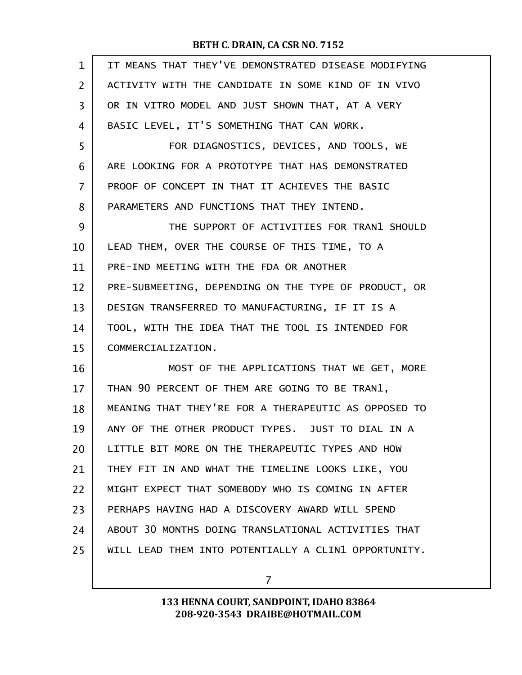| $\mathbf{1}$ | IT MEANS THAT THEY'VE DEMONSTRATED DISEASE MODIFYING |
|--------------|------------------------------------------------------|
| 2            | ACTIVITY WITH THE CANDIDATE IN SOME KIND OF IN VIVO  |
| 3            | OR IN VITRO MODEL AND JUST SHOWN THAT, AT A VERY     |
| 4            | BASIC LEVEL, IT'S SOMETHING THAT CAN WORK.           |
| 5            | FOR DIAGNOSTICS, DEVICES, AND TOOLS, WE              |
| 6            | ARE LOOKING FOR A PROTOTYPE THAT HAS DEMONSTRATED    |
| 7            | PROOF OF CONCEPT IN THAT IT ACHIEVES THE BASIC       |
| 8            | PARAMETERS AND FUNCTIONS THAT THEY INTEND.           |
| 9            | THE SUPPORT OF ACTIVITIES FOR TRAN1 SHOULD           |
| 10           | LEAD THEM, OVER THE COURSE OF THIS TIME, TO A        |
| 11           | PRE-IND MEETING WITH THE FDA OR ANOTHER              |
| 12           | PRE-SUBMEETING, DEPENDING ON THE TYPE OF PRODUCT, OR |
| 13           | DESIGN TRANSFERRED TO MANUFACTURING, IF IT IS A      |
| 14           | TOOL, WITH THE IDEA THAT THE TOOL IS INTENDED FOR    |
| 15           | COMMERCIALIZATION.                                   |
| 16           | MOST OF THE APPLICATIONS THAT WE GET, MORE           |
| 17           | THAN 90 PERCENT OF THEM ARE GOING TO BE TRAN1,       |
| 18           | MEANING THAT THEY'RE FOR A THERAPEUTIC AS OPPOSED TO |
| 19           | ANY OF THE OTHER PRODUCT TYPES. JUST TO DIAL IN A    |
| 20           | LITTLE BIT MORE ON THE THERAPEUTIC TYPES AND HOW     |
| 21           | THEY FIT IN AND WHAT THE TIMELINE LOOKS LIKE, YOU    |
| 22           | MIGHT EXPECT THAT SOMEBODY WHO IS COMING IN AFTER    |
| 23           | PERHAPS HAVING HAD A DISCOVERY AWARD WILL SPEND      |
| 24           | ABOUT 30 MONTHS DOING TRANSLATIONAL ACTIVITIES THAT  |
| 25           | WILL LEAD THEM INTO POTENTIALLY A CLIN1 OPPORTUNITY. |
|              |                                                      |

7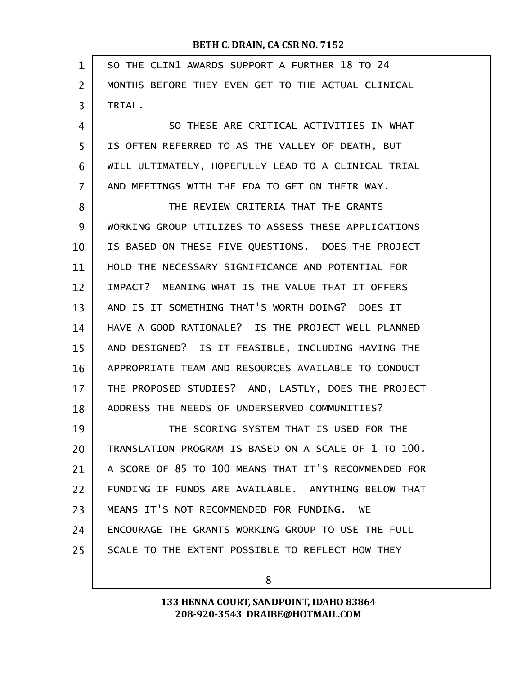| $\mathbf{1}$   | SO THE CLIN1 AWARDS SUPPORT A FURTHER 18 TO 24       |
|----------------|------------------------------------------------------|
| $\overline{2}$ | MONTHS BEFORE THEY EVEN GET TO THE ACTUAL CLINICAL   |
| 3              | TRIAL.                                               |
| 4              | SO THESE ARE CRITICAL ACTIVITIES IN WHAT             |
| 5              | IS OFTEN REFERRED TO AS THE VALLEY OF DEATH, BUT     |
| 6              | WILL ULTIMATELY, HOPEFULLY LEAD TO A CLINICAL TRIAL  |
| 7              | AND MEETINGS WITH THE FDA TO GET ON THEIR WAY.       |
| 8              | THE REVIEW CRITERIA THAT THE GRANTS                  |
| 9              | WORKING GROUP UTILIZES TO ASSESS THESE APPLICATIONS  |
| 10             | IS BASED ON THESE FIVE QUESTIONS. DOES THE PROJECT   |
| 11             | HOLD THE NECESSARY SIGNIFICANCE AND POTENTIAL FOR    |
| 12             | IMPACT? MEANING WHAT IS THE VALUE THAT IT OFFERS     |
| 13             | AND IS IT SOMETHING THAT'S WORTH DOING? DOES IT      |
| 14             | HAVE A GOOD RATIONALE? IS THE PROJECT WELL PLANNED   |
| 15             | AND DESIGNED? IS IT FEASIBLE, INCLUDING HAVING THE   |
| 16             | APPROPRIATE TEAM AND RESOURCES AVAILABLE TO CONDUCT  |
| 17             | THE PROPOSED STUDIES? AND, LASTLY, DOES THE PROJECT  |
| 18             | ADDRESS THE NEEDS OF UNDERSERVED COMMUNITIES?        |
| 19             | THE SCORING SYSTEM THAT IS USED FOR THE              |
| 20             | TRANSLATION PROGRAM IS BASED ON A SCALE OF 1 TO 100. |
| 21             | A SCORE OF 85 TO 100 MEANS THAT IT'S RECOMMENDED FOR |
| 22             | FUNDING IF FUNDS ARE AVAILABLE. ANYTHING BELOW THAT  |
| 23             | MEANS IT'S NOT RECOMMENDED FOR FUNDING. WE           |
| 24             | ENCOURAGE THE GRANTS WORKING GROUP TO USE THE FULL   |
| 25             | SCALE TO THE EXTENT POSSIBLE TO REFLECT HOW THEY     |
|                |                                                      |

8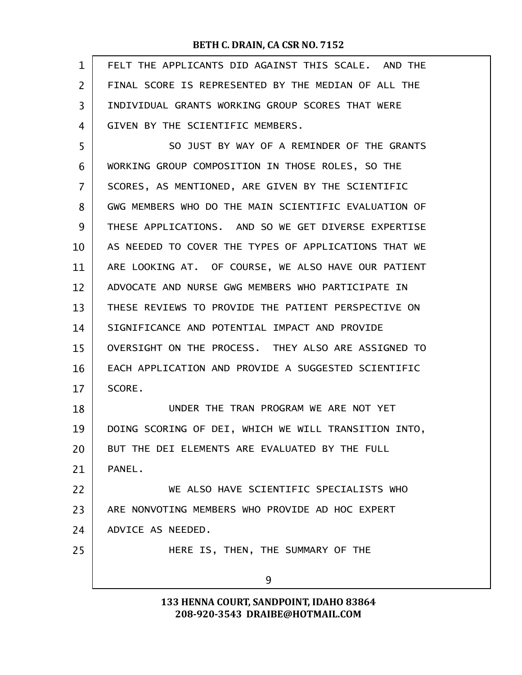| $\mathbf{1}$ | FELT THE APPLICANTS DID AGAINST THIS SCALE. AND THE  |
|--------------|------------------------------------------------------|
| 2            | FINAL SCORE IS REPRESENTED BY THE MEDIAN OF ALL THE  |
| 3            | INDIVIDUAL GRANTS WORKING GROUP SCORES THAT WERE     |
| 4            | GIVEN BY THE SCIENTIFIC MEMBERS.                     |
| 5            | SO JUST BY WAY OF A REMINDER OF THE GRANTS           |
| 6            | WORKING GROUP COMPOSITION IN THOSE ROLES, SO THE     |
| 7            | SCORES, AS MENTIONED, ARE GIVEN BY THE SCIENTIFIC    |
| 8            | GWG MEMBERS WHO DO THE MAIN SCIENTIFIC EVALUATION OF |
| 9            | THESE APPLICATIONS. AND SO WE GET DIVERSE EXPERTISE  |
| 10           | AS NEEDED TO COVER THE TYPES OF APPLICATIONS THAT WE |
| 11           | ARE LOOKING AT. OF COURSE, WE ALSO HAVE OUR PATIENT  |
| 12           | ADVOCATE AND NURSE GWG MEMBERS WHO PARTICIPATE IN    |
| 13           | THESE REVIEWS TO PROVIDE THE PATIENT PERSPECTIVE ON  |
| 14           | SIGNIFICANCE AND POTENTIAL IMPACT AND PROVIDE        |
| 15           | OVERSIGHT ON THE PROCESS. THEY ALSO ARE ASSIGNED TO  |
| 16           | EACH APPLICATION AND PROVIDE A SUGGESTED SCIENTIFIC  |
| 17           | SCORE.                                               |
| 18           | UNDER THE TRAN PROGRAM WE ARE NOT YET                |
| 19           | DOING SCORING OF DEI, WHICH WE WILL TRANSITION INTO, |
| 20           | BUT THE DEI ELEMENTS ARE EVALUATED BY THE FULL       |
| 21           | PANEL.                                               |
| 22           | WE ALSO HAVE SCIENTIFIC SPECIALISTS WHO              |
| 23           | ARE NONVOTING MEMBERS WHO PROVIDE AD HOC EXPERT      |
| 24           | ADVICE AS NEEDED.                                    |
| 25           | HERE IS, THEN, THE SUMMARY OF THE                    |
|              | 9                                                    |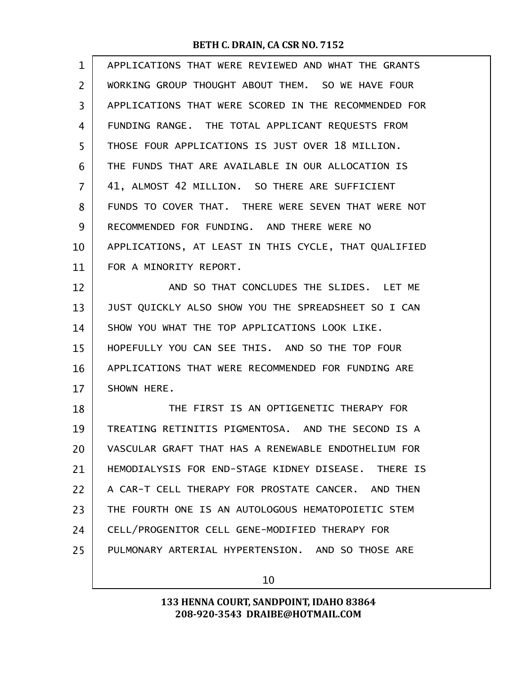| 1  | APPLICATIONS THAT WERE REVIEWED AND WHAT THE GRANTS  |
|----|------------------------------------------------------|
| 2  | WORKING GROUP THOUGHT ABOUT THEM. SO WE HAVE FOUR    |
| 3  | APPLICATIONS THAT WERE SCORED IN THE RECOMMENDED FOR |
| 4  | FUNDING RANGE. THE TOTAL APPLICANT REQUESTS FROM     |
| 5  | THOSE FOUR APPLICATIONS IS JUST OVER 18 MILLION.     |
| 6  | THE FUNDS THAT ARE AVAILABLE IN OUR ALLOCATION IS    |
| 7  | 41, ALMOST 42 MILLION. SO THERE ARE SUFFICIENT       |
| 8  | FUNDS TO COVER THAT. THERE WERE SEVEN THAT WERE NOT  |
| 9  | RECOMMENDED FOR FUNDING. AND THERE WERE NO           |
| 10 | APPLICATIONS, AT LEAST IN THIS CYCLE, THAT QUALIFIED |
| 11 | FOR A MINORITY REPORT.                               |
| 12 | AND SO THAT CONCLUDES THE SLIDES. LET ME             |
| 13 | JUST QUICKLY ALSO SHOW YOU THE SPREADSHEET SO I CAN  |
| 14 | SHOW YOU WHAT THE TOP APPLICATIONS LOOK LIKE.        |
| 15 | HOPEFULLY YOU CAN SEE THIS. AND SO THE TOP FOUR      |
| 16 | APPLICATIONS THAT WERE RECOMMENDED FOR FUNDING ARE   |
| 17 | SHOWN HERE.                                          |
| 18 | THE FIRST IS AN OPTIGENETIC THERAPY FOR              |
| 19 | TREATING RETINITIS PIGMENTOSA. AND THE SECOND IS A   |
| 20 | VASCULAR GRAFT THAT HAS A RENEWABLE ENDOTHELIUM FOR  |
| 21 | HEMODIALYSIS FOR END-STAGE KIDNEY DISEASE. THERE IS  |
| 22 | A CAR-T CELL THERAPY FOR PROSTATE CANCER. AND THEN   |
| 23 | THE FOURTH ONE IS AN AUTOLOGOUS HEMATOPOIETIC STEM   |
| 24 | CELL/PROGENITOR CELL GENE-MODIFIED THERAPY FOR       |
| 25 | PULMONARY ARTERIAL HYPERTENSION. AND SO THOSE ARE    |
|    |                                                      |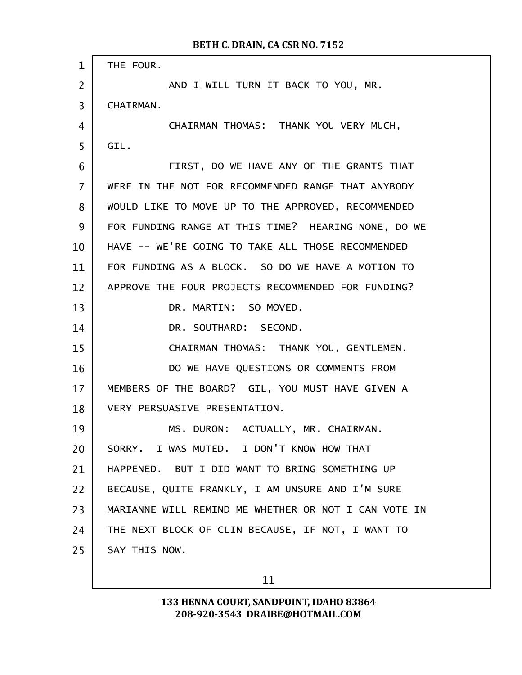| $\mathbf{1}$   | THE FOUR.                                            |
|----------------|------------------------------------------------------|
| $\overline{2}$ | AND I WILL TURN IT BACK TO YOU, MR.                  |
| 3              | <b>CHAIRMAN.</b>                                     |
| 4              | CHAIRMAN THOMAS: THANK YOU VERY MUCH,                |
| 5              | GIL.                                                 |
| 6              | FIRST, DO WE HAVE ANY OF THE GRANTS THAT             |
| $\overline{7}$ | WERE IN THE NOT FOR RECOMMENDED RANGE THAT ANYBODY   |
| 8              | WOULD LIKE TO MOVE UP TO THE APPROVED, RECOMMENDED   |
| 9              | FOR FUNDING RANGE AT THIS TIME? HEARING NONE, DO WE  |
| 10             | HAVE -- WE'RE GOING TO TAKE ALL THOSE RECOMMENDED    |
| 11             | FOR FUNDING AS A BLOCK. SO DO WE HAVE A MOTION TO    |
| 12             | APPROVE THE FOUR PROJECTS RECOMMENDED FOR FUNDING?   |
| 13             | DR. MARTIN: SO MOVED.                                |
| 14             | DR. SOUTHARD: SECOND.                                |
| 15             | CHAIRMAN THOMAS: THANK YOU, GENTLEMEN.               |
| 16             | DO WE HAVE QUESTIONS OR COMMENTS FROM                |
| 17             | MEMBERS OF THE BOARD? GIL, YOU MUST HAVE GIVEN A     |
| 18             | VERY PERSUASIVE PRESENTATION.                        |
| 19             | MS. DURON: ACTUALLY, MR. CHAIRMAN.                   |
| 20             | SORRY. I WAS MUTED. I DON'T KNOW HOW THAT            |
| 21             | HAPPENED. BUT I DID WANT TO BRING SOMETHING UP       |
| 22             | BECAUSE, QUITE FRANKLY, I AM UNSURE AND I'M SURE     |
| 23             | MARIANNE WILL REMIND ME WHETHER OR NOT I CAN VOTE IN |
| 24             | THE NEXT BLOCK OF CLIN BECAUSE, IF NOT, I WANT TO    |
| 25             | SAY THIS NOW.                                        |
|                |                                                      |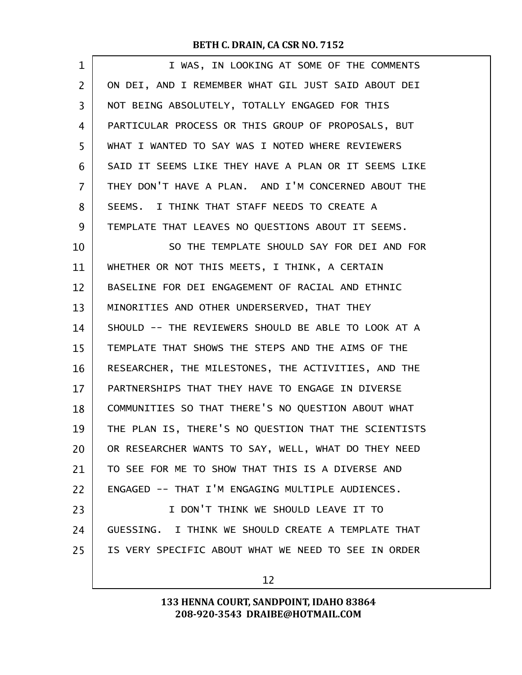| 1  | I WAS, IN LOOKING AT SOME OF THE COMMENTS            |
|----|------------------------------------------------------|
| 2  | ON DEI, AND I REMEMBER WHAT GIL JUST SAID ABOUT DEI  |
| 3  | NOT BEING ABSOLUTELY, TOTALLY ENGAGED FOR THIS       |
| 4  | PARTICULAR PROCESS OR THIS GROUP OF PROPOSALS, BUT   |
| 5  | WHAT I WANTED TO SAY WAS I NOTED WHERE REVIEWERS     |
| 6  | SAID IT SEEMS LIKE THEY HAVE A PLAN OR IT SEEMS LIKE |
| 7  | THEY DON'T HAVE A PLAN. AND I'M CONCERNED ABOUT THE  |
| 8  | SEEMS. I THINK THAT STAFF NEEDS TO CREATE A          |
| 9  | TEMPLATE THAT LEAVES NO QUESTIONS ABOUT IT SEEMS.    |
| 10 | SO THE TEMPLATE SHOULD SAY FOR DEI AND FOR           |
| 11 | WHETHER OR NOT THIS MEETS, I THINK, A CERTAIN        |
| 12 | BASELINE FOR DEI ENGAGEMENT OF RACIAL AND ETHNIC     |
| 13 | MINORITIES AND OTHER UNDERSERVED, THAT THEY          |
| 14 | SHOULD -- THE REVIEWERS SHOULD BE ABLE TO LOOK AT A  |
| 15 | TEMPLATE THAT SHOWS THE STEPS AND THE AIMS OF THE    |
| 16 | RESEARCHER, THE MILESTONES, THE ACTIVITIES, AND THE  |
| 17 | PARTNERSHIPS THAT THEY HAVE TO ENGAGE IN DIVERSE     |
| 18 | COMMUNITIES SO THAT THERE'S NO QUESTION ABOUT WHAT   |
| 19 | THE PLAN IS, THERE'S NO QUESTION THAT THE SCIENTISTS |
| 20 | OR RESEARCHER WANTS TO SAY, WELL, WHAT DO THEY NEED  |
| 21 | TO SEE FOR ME TO SHOW THAT THIS IS A DIVERSE AND     |
| 22 | ENGAGED -- THAT I'M ENGAGING MULTIPLE AUDIENCES.     |
| 23 | I DON'T THINK WE SHOULD LEAVE IT TO                  |
| 24 | GUESSING. I THINK WE SHOULD CREATE A TEMPLATE THAT   |
| 25 | IS VERY SPECIFIC ABOUT WHAT WE NEED TO SEE IN ORDER  |
|    | 12                                                   |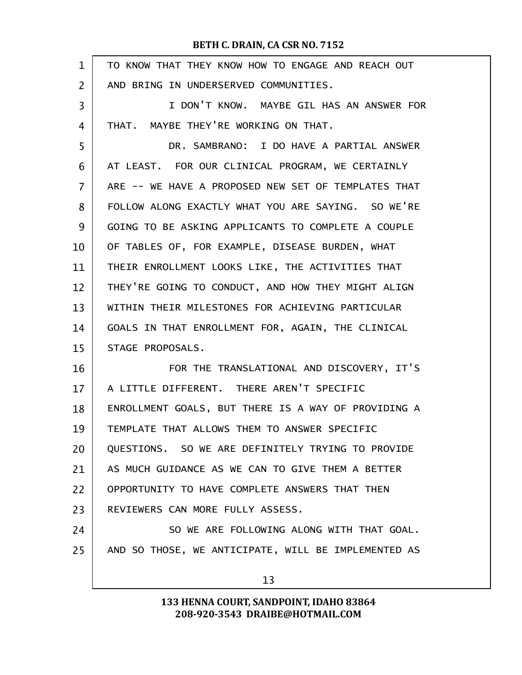| $\mathbf 1$ | TO KNOW THAT THEY KNOW HOW TO ENGAGE AND REACH OUT  |
|-------------|-----------------------------------------------------|
| 2           | AND BRING IN UNDERSERVED COMMUNITIES.               |
| 3           | I DON'T KNOW. MAYBE GIL HAS AN ANSWER FOR           |
| 4           | THAT. MAYBE THEY'RE WORKING ON THAT.                |
| 5           | DR. SAMBRANO: I DO HAVE A PARTIAL ANSWER            |
| 6           | AT LEAST. FOR OUR CLINICAL PROGRAM, WE CERTAINLY    |
| 7           | ARE -- WE HAVE A PROPOSED NEW SET OF TEMPLATES THAT |
| 8           | FOLLOW ALONG EXACTLY WHAT YOU ARE SAYING. SO WE'RE  |
| 9           | GOING TO BE ASKING APPLICANTS TO COMPLETE A COUPLE  |
| 10          | OF TABLES OF, FOR EXAMPLE, DISEASE BURDEN, WHAT     |
| 11          | THEIR ENROLLMENT LOOKS LIKE, THE ACTIVITIES THAT    |
| 12          | THEY'RE GOING TO CONDUCT, AND HOW THEY MIGHT ALIGN  |
| 13          | WITHIN THEIR MILESTONES FOR ACHIEVING PARTICULAR    |
| 14          | GOALS IN THAT ENROLLMENT FOR, AGAIN, THE CLINICAL   |
| 15          | STAGE PROPOSALS.                                    |
| 16          | FOR THE TRANSLATIONAL AND DISCOVERY, IT'S           |
| 17          | A LITTLE DIFFERENT. THERE AREN'T SPECIFIC           |
| 18          | ENROLLMENT GOALS, BUT THERE IS A WAY OF PROVIDING A |
| 19          | TEMPLATE THAT ALLOWS THEM TO ANSWER SPECIFIC        |
| 20          | QUESTIONS. SO WE ARE DEFINITELY TRYING TO PROVIDE   |
| 21          | AS MUCH GUIDANCE AS WE CAN TO GIVE THEM A BETTER    |
| 22          | OPPORTUNITY TO HAVE COMPLETE ANSWERS THAT THEN      |
| 23          | REVIEWERS CAN MORE FULLY ASSESS.                    |
| 24          | SO WE ARE FOLLOWING ALONG WITH THAT GOAL.           |
| 25          | AND SO THOSE, WE ANTICIPATE, WILL BE IMPLEMENTED AS |
|             | 13                                                  |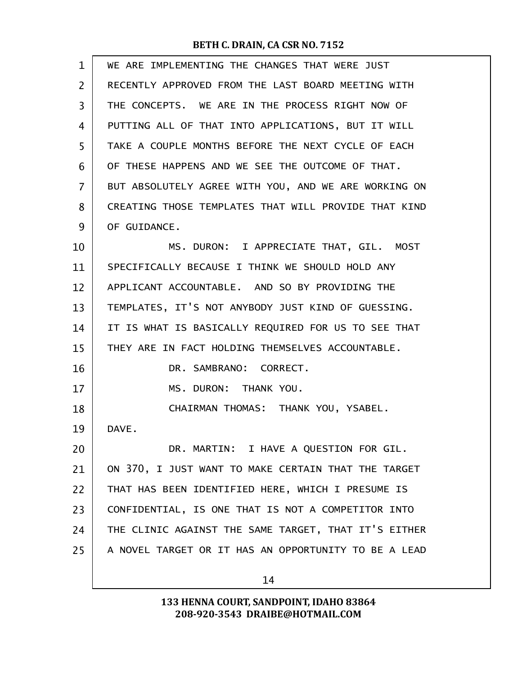| $\mathbf{1}$   | WE ARE IMPLEMENTING THE CHANGES THAT WERE JUST       |
|----------------|------------------------------------------------------|
| $\overline{2}$ | RECENTLY APPROVED FROM THE LAST BOARD MEETING WITH   |
| 3              | THE CONCEPTS. WE ARE IN THE PROCESS RIGHT NOW OF     |
| 4              | PUTTING ALL OF THAT INTO APPLICATIONS, BUT IT WILL   |
| 5              | TAKE A COUPLE MONTHS BEFORE THE NEXT CYCLE OF EACH   |
| 6              | OF THESE HAPPENS AND WE SEE THE OUTCOME OF THAT.     |
| 7              | BUT ABSOLUTELY AGREE WITH YOU, AND WE ARE WORKING ON |
| 8              | CREATING THOSE TEMPLATES THAT WILL PROVIDE THAT KIND |
| 9              | OF GUIDANCE.                                         |
| 10             | MS. DURON: I APPRECIATE THAT, GIL. MOST              |
| 11             | SPECIFICALLY BECAUSE I THINK WE SHOULD HOLD ANY      |
| 12             | APPLICANT ACCOUNTABLE. AND SO BY PROVIDING THE       |
| 13             | TEMPLATES, IT'S NOT ANYBODY JUST KIND OF GUESSING.   |
| 14             | IT IS WHAT IS BASICALLY REQUIRED FOR US TO SEE THAT  |
| 15             | THEY ARE IN FACT HOLDING THEMSELVES ACCOUNTABLE.     |
| 16             | DR. SAMBRANO: CORRECT.                               |
| 17             | MS. DURON: THANK YOU.                                |
| 18             | CHAIRMAN THOMAS: THANK YOU, YSABEL.                  |
| 19             | DAVE.                                                |
| 20             | DR. MARTIN: I HAVE A QUESTION FOR GIL.               |
| 21             | ON 370, I JUST WANT TO MAKE CERTAIN THAT THE TARGET  |
| 22             | THAT HAS BEEN IDENTIFIED HERE, WHICH I PRESUME IS    |
| 23             | CONFIDENTIAL, IS ONE THAT IS NOT A COMPETITOR INTO   |
| 24             | THE CLINIC AGAINST THE SAME TARGET, THAT IT'S EITHER |
| 25             | A NOVEL TARGET OR IT HAS AN OPPORTUNITY TO BE A LEAD |
|                |                                                      |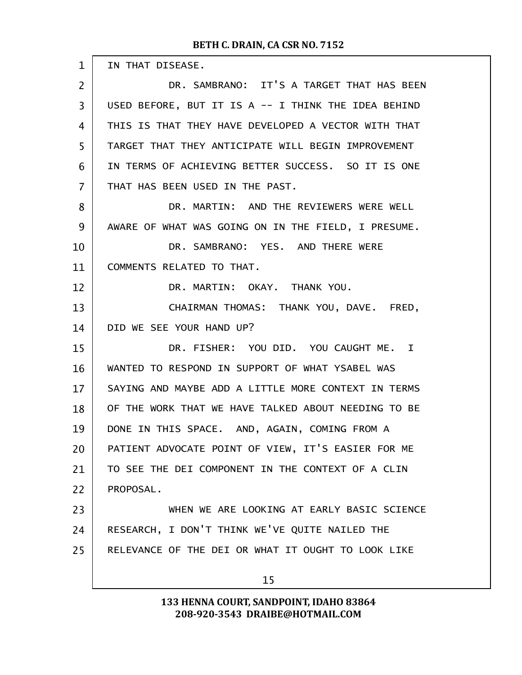| $\mathbf{1}$   | IN THAT DISEASE.                                    |
|----------------|-----------------------------------------------------|
| $\overline{2}$ | DR. SAMBRANO: IT'S A TARGET THAT HAS BEEN           |
| 3              | USED BEFORE, BUT IT IS A -- I THINK THE IDEA BEHIND |
| 4              | THIS IS THAT THEY HAVE DEVELOPED A VECTOR WITH THAT |
| 5              | TARGET THAT THEY ANTICIPATE WILL BEGIN IMPROVEMENT  |
| 6              | IN TERMS OF ACHIEVING BETTER SUCCESS. SO IT IS ONE  |
| $\overline{7}$ | THAT HAS BEEN USED IN THE PAST.                     |
| 8              | DR. MARTIN: AND THE REVIEWERS WERE WELL             |
| 9              | AWARE OF WHAT WAS GOING ON IN THE FIELD, I PRESUME. |
| 10             | DR. SAMBRANO: YES. AND THERE WERE                   |
| 11             | COMMENTS RELATED TO THAT.                           |
| 12             | DR. MARTIN: OKAY. THANK YOU.                        |
| 13             | CHAIRMAN THOMAS: THANK YOU, DAVE. FRED,             |
| 14             | DID WE SEE YOUR HAND UP?                            |
| 15             | DR. FISHER: YOU DID. YOU CAUGHT ME. I               |
| 16             | WANTED TO RESPOND IN SUPPORT OF WHAT YSABEL WAS     |
| 17             | SAYING AND MAYBE ADD A LITTLE MORE CONTEXT IN TERMS |
| 18             | OF THE WORK THAT WE HAVE TALKED ABOUT NEEDING TO BE |
| 19             | DONE IN THIS SPACE. AND, AGAIN, COMING FROM A       |
| 20             | PATIENT ADVOCATE POINT OF VIEW, IT'S EASIER FOR ME  |
| 21             | TO SEE THE DEI COMPONENT IN THE CONTEXT OF A CLIN   |
| 22             | PROPOSAL.                                           |
| 23             | WHEN WE ARE LOOKING AT EARLY BASIC SCIENCE          |
| 24             | RESEARCH, I DON'T THINK WE'VE QUITE NAILED THE      |
| 25             | RELEVANCE OF THE DEI OR WHAT IT OUGHT TO LOOK LIKE  |
|                | 15                                                  |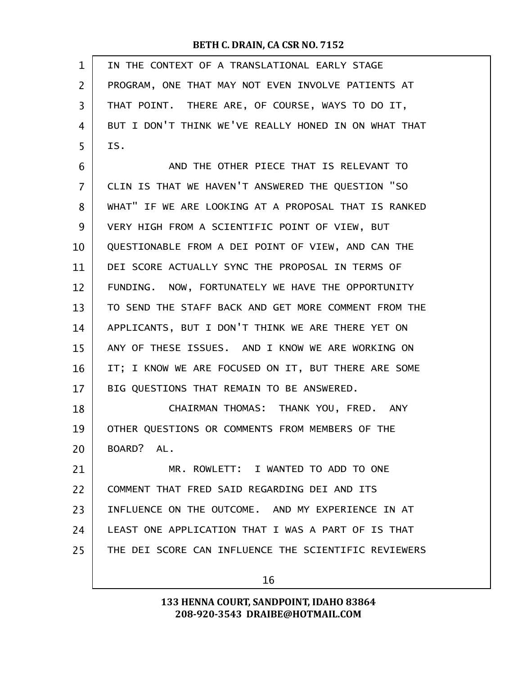| $\mathbf{1}$   | IN THE CONTEXT OF A TRANSLATIONAL EARLY STAGE        |
|----------------|------------------------------------------------------|
| $\overline{2}$ | PROGRAM, ONE THAT MAY NOT EVEN INVOLVE PATIENTS AT   |
| 3              | THAT POINT. THERE ARE, OF COURSE, WAYS TO DO IT,     |
| 4              | BUT I DON'T THINK WE'VE REALLY HONED IN ON WHAT THAT |
| 5              | IS.                                                  |
| 6              | AND THE OTHER PIECE THAT IS RELEVANT TO              |
| 7              | CLIN IS THAT WE HAVEN'T ANSWERED THE QUESTION "SO    |
| 8              | WHAT" IF WE ARE LOOKING AT A PROPOSAL THAT IS RANKED |
| 9              | VERY HIGH FROM A SCIENTIFIC POINT OF VIEW, BUT       |
| 10             | QUESTIONABLE FROM A DEI POINT OF VIEW, AND CAN THE   |
| 11             | DEI SCORE ACTUALLY SYNC THE PROPOSAL IN TERMS OF     |
| 12             | FUNDING. NOW, FORTUNATELY WE HAVE THE OPPORTUNITY    |
| 13             | TO SEND THE STAFF BACK AND GET MORE COMMENT FROM THE |
| 14             | APPLICANTS, BUT I DON'T THINK WE ARE THERE YET ON    |
| 15             | ANY OF THESE ISSUES. AND I KNOW WE ARE WORKING ON    |
| 16             | IT; I KNOW WE ARE FOCUSED ON IT, BUT THERE ARE SOME  |
| 17             | BIG QUESTIONS THAT REMAIN TO BE ANSWERED.            |
| 18             | CHAIRMAN THOMAS: THANK YOU, FRED. ANY                |
| 19             | OTHER QUESTIONS OR COMMENTS FROM MEMBERS OF THE      |
| 20             | BOARD? AL.                                           |
| 21             | MR. ROWLETT: I WANTED TO ADD TO ONE                  |
| 22             | COMMENT THAT FRED SAID REGARDING DEI AND ITS         |
| 23             | INFLUENCE ON THE OUTCOME. AND MY EXPERIENCE IN AT    |
| 24             | LEAST ONE APPLICATION THAT I WAS A PART OF IS THAT   |
| 25             | THE DEI SCORE CAN INFLUENCE THE SCIENTIFIC REVIEWERS |
|                | 16                                                   |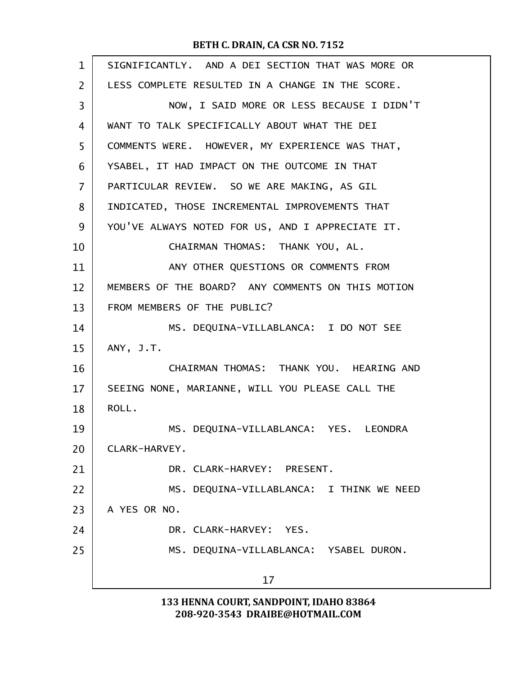| $\mathbf{1}$   | SIGNIFICANTLY. AND A DEI SECTION THAT WAS MORE OR |
|----------------|---------------------------------------------------|
| $\overline{2}$ | LESS COMPLETE RESULTED IN A CHANGE IN THE SCORE.  |
| 3              | NOW, I SAID MORE OR LESS BECAUSE I DIDN'T         |
| 4              | WANT TO TALK SPECIFICALLY ABOUT WHAT THE DEI      |
| 5              | COMMENTS WERE. HOWEVER, MY EXPERIENCE WAS THAT,   |
| 6              | YSABEL, IT HAD IMPACT ON THE OUTCOME IN THAT      |
| 7              | PARTICULAR REVIEW. SO WE ARE MAKING, AS GIL       |
| 8              | INDICATED, THOSE INCREMENTAL IMPROVEMENTS THAT    |
| 9              | YOU'VE ALWAYS NOTED FOR US, AND I APPRECIATE IT.  |
| 10             | CHAIRMAN THOMAS: THANK YOU, AL.                   |
| 11             | ANY OTHER QUESTIONS OR COMMENTS FROM              |
| 12             | MEMBERS OF THE BOARD? ANY COMMENTS ON THIS MOTION |
| 13             | FROM MEMBERS OF THE PUBLIC?                       |
| 14             | MS. DEQUINA-VILLABLANCA: I DO NOT SEE             |
| 15             | ANY, J.T.                                         |
| 16             | CHAIRMAN THOMAS: THANK YOU. HEARING AND           |
| 17             | SEEING NONE, MARIANNE, WILL YOU PLEASE CALL THE   |
| 18             | ROLL.                                             |
| 19             | MS. DEQUINA-VILLABLANCA: YES. LEONDRA             |
| 20             | CLARK-HARVEY.                                     |
| 21             | DR. CLARK-HARVEY: PRESENT.                        |
| 22             | MS. DEQUINA-VILLABLANCA: I THINK WE NEED          |
| 23             | A YES OR NO.                                      |
| 24             | DR. CLARK-HARVEY: YES.                            |
| 25             | MS. DEQUINA-VILLABLANCA: YSABEL DURON.            |
|                | 17                                                |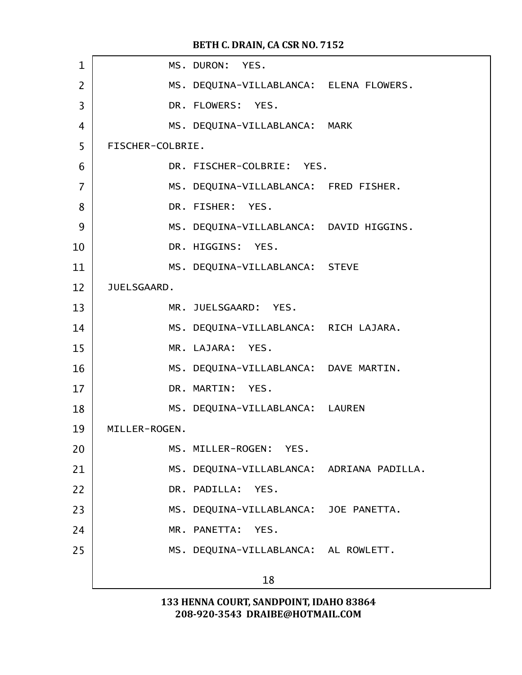| $\mathbf 1$    |                  | MS. DURON: YES.                           |  |
|----------------|------------------|-------------------------------------------|--|
| $\overline{2}$ |                  | MS. DEQUINA-VILLABLANCA: ELENA FLOWERS.   |  |
| 3              |                  | DR. FLOWERS: YES.                         |  |
| $\overline{4}$ |                  | MS. DEQUINA-VILLABLANCA: MARK             |  |
| 5              | FISCHER-COLBRIE. |                                           |  |
| 6              |                  | DR. FISCHER-COLBRIE: YES.                 |  |
| $\overline{7}$ |                  | MS. DEQUINA-VILLABLANCA: FRED FISHER.     |  |
| 8              |                  | DR. FISHER: YES.                          |  |
| 9              |                  | MS. DEQUINA-VILLABLANCA: DAVID HIGGINS.   |  |
| 10             |                  | DR. HIGGINS: YES.                         |  |
| 11             |                  | MS. DEQUINA-VILLABLANCA: STEVE            |  |
| 12             | JUELSGAARD.      |                                           |  |
| 13             |                  | MR. JUELSGAARD: YES.                      |  |
| 14             |                  | MS. DEQUINA-VILLABLANCA: RICH LAJARA.     |  |
| 15             |                  | MR. LAJARA: YES.                          |  |
| 16             |                  | MS. DEQUINA-VILLABLANCA: DAVE MARTIN.     |  |
| 17             |                  | DR. MARTIN: YES.                          |  |
| 18             |                  | MS. DEQUINA-VILLABLANCA: LAUREN           |  |
| 19             | MILLER-ROGEN.    |                                           |  |
| 20             |                  | MS. MILLER-ROGEN: YES.                    |  |
| 21             |                  | MS. DEQUINA-VILLABLANCA: ADRIANA PADILLA. |  |
| 22             |                  | DR. PADILLA: YES.                         |  |
| 23             |                  | MS. DEQUINA-VILLABLANCA: JOE PANETTA.     |  |
| 24             |                  | MR. PANETTA:<br>YES.                      |  |
| 25             |                  | MS. DEQUINA-VILLABLANCA: AL ROWLETT.      |  |
|                |                  | 18                                        |  |
|                |                  |                                           |  |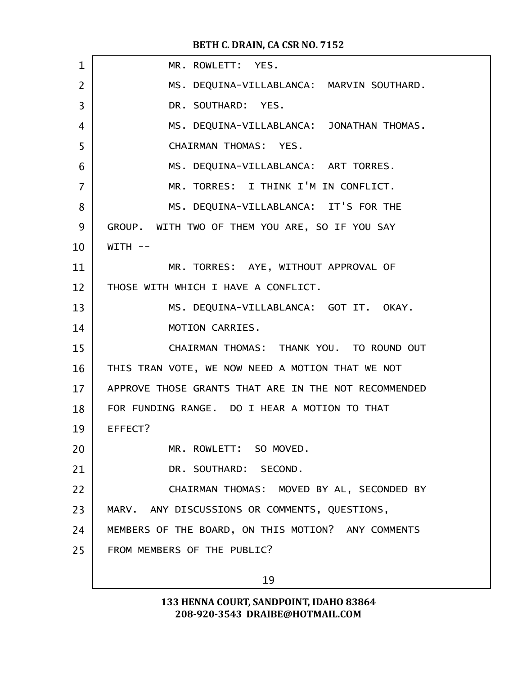| $\mathbf{1}$ | MR. ROWLETT: YES.                                    |
|--------------|------------------------------------------------------|
| 2            | MS. DEQUINA-VILLABLANCA: MARVIN SOUTHARD.            |
| 3            | DR. SOUTHARD: YES.                                   |
| 4            | MS. DEQUINA-VILLABLANCA: JONATHAN THOMAS.            |
| 5            | CHAIRMAN THOMAS: YES.                                |
| 6            | MS. DEQUINA-VILLABLANCA: ART TORRES.                 |
| 7            | MR. TORRES: I THINK I'M IN CONFLICT.                 |
| 8            | MS. DEQUINA-VILLABLANCA: IT'S FOR THE                |
| 9            | GROUP. WITH TWO OF THEM YOU ARE, SO IF YOU SAY       |
| 10           | $WITH$ --                                            |
| 11           | MR. TORRES: AYE, WITHOUT APPROVAL OF                 |
| 12           | THOSE WITH WHICH I HAVE A CONFLICT.                  |
| 13           | MS. DEQUINA-VILLABLANCA: GOT IT. OKAY.               |
| 14           | MOTION CARRIES.                                      |
| 15           | CHAIRMAN THOMAS: THANK YOU. TO ROUND OUT             |
| 16           | THIS TRAN VOTE, WE NOW NEED A MOTION THAT WE NOT     |
| 17           | APPROVE THOSE GRANTS THAT ARE IN THE NOT RECOMMENDED |
| 18           | FOR FUNDING RANGE. DO I HEAR A MOTION TO THAT        |
| 19           | EFFECT?                                              |
| 20           | MR. ROWLETT: SO MOVED.                               |
| 21           | DR. SOUTHARD: SECOND.                                |
| 22           | CHAIRMAN THOMAS: MOVED BY AL, SECONDED BY            |
| 23           | MARV. ANY DISCUSSIONS OR COMMENTS, QUESTIONS,        |
| 24           | MEMBERS OF THE BOARD, ON THIS MOTION? ANY COMMENTS   |
| 25           | FROM MEMBERS OF THE PUBLIC?                          |
|              | 19                                                   |
|              |                                                      |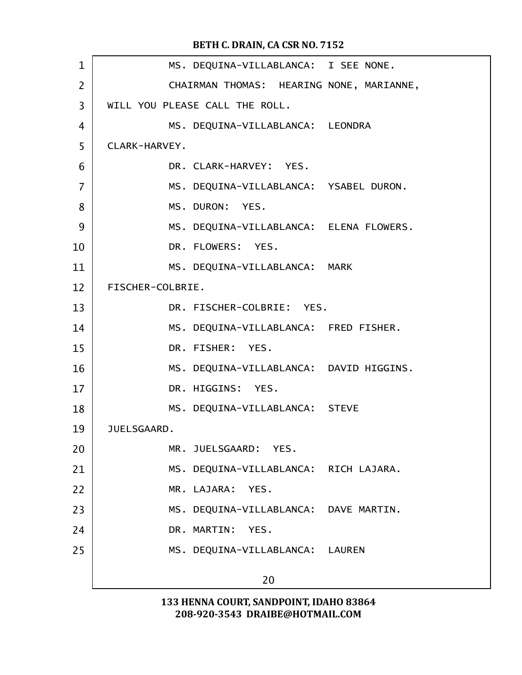| $\mathbf 1$    | MS. DEQUINA-VILLABLANCA: I SEE NONE.     |
|----------------|------------------------------------------|
| 2              | CHAIRMAN THOMAS: HEARING NONE, MARIANNE, |
| 3              | WILL YOU PLEASE CALL THE ROLL.           |
| 4              | MS. DEQUINA-VILLABLANCA: LEONDRA         |
| 5              | CLARK-HARVEY.                            |
| 6              | DR. CLARK-HARVEY: YES.                   |
| $\overline{7}$ | MS. DEQUINA-VILLABLANCA: YSABEL DURON.   |
| 8              | MS. DURON: YES.                          |
| 9              | MS. DEQUINA-VILLABLANCA: ELENA FLOWERS.  |
| 10             | DR. FLOWERS: YES.                        |
| 11             | MS. DEQUINA-VILLABLANCA: MARK            |
| 12             | FISCHER-COLBRIE.                         |
| 13             | DR. FISCHER-COLBRIE: YES.                |
| 14             | MS. DEQUINA-VILLABLANCA: FRED FISHER.    |
| 15             | DR. FISHER: YES.                         |
| 16             | MS. DEQUINA-VILLABLANCA: DAVID HIGGINS.  |
| 17             | DR. HIGGINS: YES.                        |
| 18             | MS. DEQUINA-VILLABLANCA: STEVE           |
| 19             | JUELSGAARD.                              |
| 20             | MR. JUELSGAARD: YES.                     |
| 21             | MS. DEQUINA-VILLABLANCA: RICH LAJARA.    |
| 22             | MR. LAJARA: YES.                         |
| 23             | MS. DEQUINA-VILLABLANCA: DAVE MARTIN.    |
| 24             | DR. MARTIN: YES.                         |
| 25             | MS. DEQUINA-VILLABLANCA: LAUREN          |
|                | 20                                       |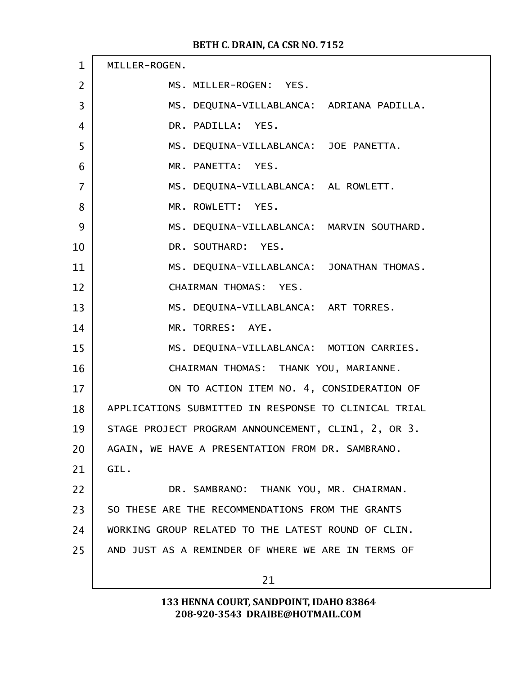| $\mathbf{1}$   | MILLER-ROGEN.                                        |
|----------------|------------------------------------------------------|
| 2              | MS. MILLER-ROGEN: YES.                               |
| 3              | MS. DEQUINA-VILLABLANCA: ADRIANA PADILLA.            |
| 4              | DR. PADILLA: YES.                                    |
| 5              | MS. DEQUINA-VILLABLANCA: JOE PANETTA.                |
| 6              | MR. PANETTA: YES.                                    |
| $\overline{7}$ | MS. DEQUINA-VILLABLANCA: AL ROWLETT.                 |
| 8              | MR. ROWLETT: YES.                                    |
| 9              | MS. DEQUINA-VILLABLANCA: MARVIN SOUTHARD.            |
| 10             | DR. SOUTHARD: YES.                                   |
| 11             | MS. DEQUINA-VILLABLANCA: JONATHAN THOMAS.            |
| 12             | CHAIRMAN THOMAS: YES.                                |
| 13             | MS. DEQUINA-VILLABLANCA: ART TORRES.                 |
| 14             | MR. TORRES: AYE.                                     |
| 15             | MS. DEQUINA-VILLABLANCA: MOTION CARRIES.             |
| 16             | CHAIRMAN THOMAS: THANK YOU, MARIANNE.                |
| 17             | ON TO ACTION ITEM NO. 4, CONSIDERATION OF            |
| 18             | APPLICATIONS SUBMITTED IN RESPONSE TO CLINICAL TRIAL |
| 19             | STAGE PROJECT PROGRAM ANNOUNCEMENT, CLIN1, 2, OR 3.  |
| 20             | AGAIN, WE HAVE A PRESENTATION FROM DR. SAMBRANO.     |
| 21             | GIL.                                                 |
| 22             | DR. SAMBRANO: THANK YOU, MR. CHAIRMAN.               |
| 23             | SO THESE ARE THE RECOMMENDATIONS FROM THE GRANTS     |
| 24             | WORKING GROUP RELATED TO THE LATEST ROUND OF CLIN.   |
| 25             | AND JUST AS A REMINDER OF WHERE WE ARE IN TERMS OF   |
|                | 21                                                   |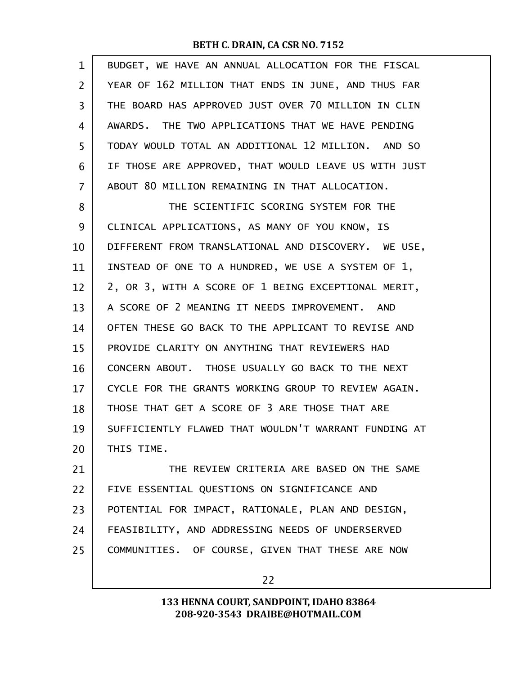| BUDGET, WE HAVE AN ANNUAL ALLOCATION FOR THE FISCAL  |
|------------------------------------------------------|
| YEAR OF 162 MILLION THAT ENDS IN JUNE, AND THUS FAR  |
| THE BOARD HAS APPROVED JUST OVER 70 MILLION IN CLIN  |
| AWARDS. THE TWO APPLICATIONS THAT WE HAVE PENDING    |
| TODAY WOULD TOTAL AN ADDITIONAL 12 MILLION. AND SO   |
| IF THOSE ARE APPROVED, THAT WOULD LEAVE US WITH JUST |
| ABOUT 80 MILLION REMAINING IN THAT ALLOCATION.       |
| THE SCIENTIFIC SCORING SYSTEM FOR THE                |
| CLINICAL APPLICATIONS, AS MANY OF YOU KNOW, IS       |
| DIFFERENT FROM TRANSLATIONAL AND DISCOVERY. WE USE,  |
| INSTEAD OF ONE TO A HUNDRED, WE USE A SYSTEM OF 1,   |
| 2, OR 3, WITH A SCORE OF 1 BEING EXCEPTIONAL MERIT,  |
| A SCORE OF 2 MEANING IT NEEDS IMPROVEMENT. AND       |
| OFTEN THESE GO BACK TO THE APPLICANT TO REVISE AND   |
| PROVIDE CLARITY ON ANYTHING THAT REVIEWERS HAD       |
| CONCERN ABOUT. THOSE USUALLY GO BACK TO THE NEXT     |
| CYCLE FOR THE GRANTS WORKING GROUP TO REVIEW AGAIN.  |
| THOSE THAT GET A SCORE OF 3 ARE THOSE THAT ARE       |
| SUFFICIENTLY FLAWED THAT WOULDN'T WARRANT FUNDING AT |
| THIS TIME.                                           |
| THE REVIEW CRITERIA ARE BASED ON THE SAME            |
| FIVE ESSENTIAL QUESTIONS ON SIGNIFICANCE AND         |
| POTENTIAL FOR IMPACT, RATIONALE, PLAN AND DESIGN,    |
| FEASIBILITY, AND ADDRESSING NEEDS OF UNDERSERVED     |
|                                                      |
| COMMUNITIES. OF COURSE, GIVEN THAT THESE ARE NOW     |
|                                                      |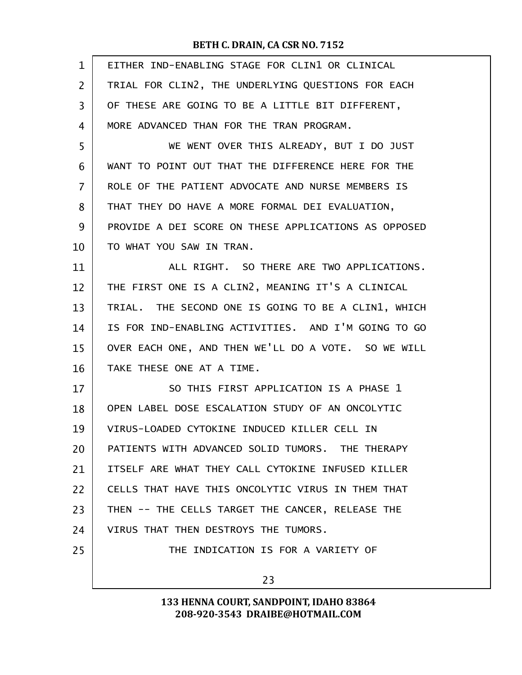| $\mathbf{1}$      | EITHER IND-ENABLING STAGE FOR CLIN1 OR CLINICAL      |
|-------------------|------------------------------------------------------|
| $\overline{2}$    | TRIAL FOR CLIN2, THE UNDERLYING QUESTIONS FOR EACH   |
| 3                 | OF THESE ARE GOING TO BE A LITTLE BIT DIFFERENT,     |
| 4                 | MORE ADVANCED THAN FOR THE TRAN PROGRAM.             |
| 5                 | WE WENT OVER THIS ALREADY, BUT I DO JUST             |
| 6                 | WANT TO POINT OUT THAT THE DIFFERENCE HERE FOR THE   |
| $\overline{7}$    | ROLE OF THE PATIENT ADVOCATE AND NURSE MEMBERS IS    |
| 8                 | THAT THEY DO HAVE A MORE FORMAL DEI EVALUATION,      |
| 9                 | PROVIDE A DEI SCORE ON THESE APPLICATIONS AS OPPOSED |
| 10                | TO WHAT YOU SAW IN TRAN.                             |
| 11                | ALL RIGHT. SO THERE ARE TWO APPLICATIONS.            |
| $12 \overline{ }$ | THE FIRST ONE IS A CLIN2, MEANING IT'S A CLINICAL    |
| 13                | TRIAL. THE SECOND ONE IS GOING TO BE A CLIN1, WHICH  |
| 14                | IS FOR IND-ENABLING ACTIVITIES. AND I'M GOING TO GO  |
| 15                | OVER EACH ONE, AND THEN WE'LL DO A VOTE. SO WE WILL  |
| 16                | TAKE THESE ONE AT A TIME.                            |
| 17                | SO THIS FIRST APPLICATION IS A PHASE 1               |
| 18                | OPEN LABEL DOSE ESCALATION STUDY OF AN ONCOLYTIC     |
| 19                | VIRUS-LOADED CYTOKINE INDUCED KILLER CELL IN         |
| 20                | PATIENTS WITH ADVANCED SOLID TUMORS. THE THERAPY     |
| 21                | ITSELF ARE WHAT THEY CALL CYTOKINE INFUSED KILLER    |
| 22                | CELLS THAT HAVE THIS ONCOLYTIC VIRUS IN THEM THAT    |
| 23                | THEN -- THE CELLS TARGET THE CANCER, RELEASE THE     |
| 24                | VIRUS THAT THEN DESTROYS THE TUMORS.                 |
| 25                | THE INDICATION IS FOR A VARIETY OF                   |
|                   | 23                                                   |
|                   |                                                      |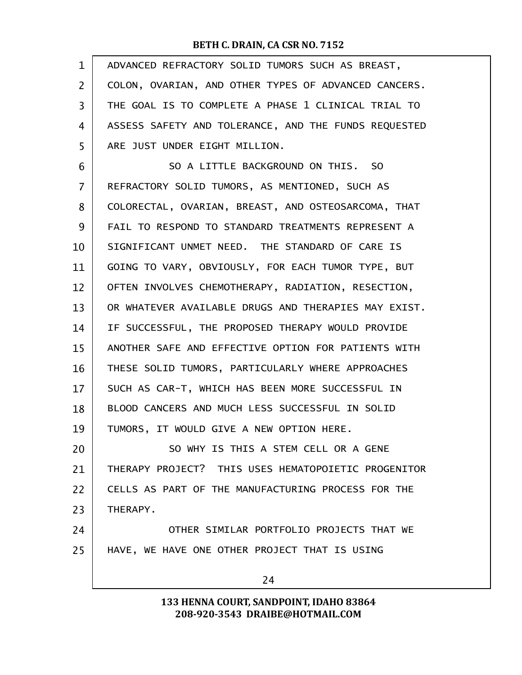| $\mathbf 1$    | ADVANCED REFRACTORY SOLID TUMORS SUCH AS BREAST,     |
|----------------|------------------------------------------------------|
| $\overline{2}$ | COLON, OVARIAN, AND OTHER TYPES OF ADVANCED CANCERS. |
| 3              | THE GOAL IS TO COMPLETE A PHASE 1 CLINICAL TRIAL TO  |
| 4              | ASSESS SAFETY AND TOLERANCE, AND THE FUNDS REQUESTED |
| 5              | ARE JUST UNDER EIGHT MILLION.                        |
| 6              | SO A LITTLE BACKGROUND ON THIS. SO                   |
| 7              | REFRACTORY SOLID TUMORS, AS MENTIONED, SUCH AS       |
| 8              | COLORECTAL, OVARIAN, BREAST, AND OSTEOSARCOMA, THAT  |
| 9              | FAIL TO RESPOND TO STANDARD TREATMENTS REPRESENT A   |
| 10             | SIGNIFICANT UNMET NEED. THE STANDARD OF CARE IS      |
| 11             | GOING TO VARY, OBVIOUSLY, FOR EACH TUMOR TYPE, BUT   |
| 12             | OFTEN INVOLVES CHEMOTHERAPY, RADIATION, RESECTION,   |
| 13             | OR WHATEVER AVAILABLE DRUGS AND THERAPIES MAY EXIST. |
| 14             | IF SUCCESSFUL, THE PROPOSED THERAPY WOULD PROVIDE    |
| 15             | ANOTHER SAFE AND EFFECTIVE OPTION FOR PATIENTS WITH  |
| 16             | THESE SOLID TUMORS, PARTICULARLY WHERE APPROACHES    |
| 17             | SUCH AS CAR-T, WHICH HAS BEEN MORE SUCCESSFUL IN     |
| 18             | BLOOD CANCERS AND MUCH LESS SUCCESSFUL IN SOLID      |
| 19             | TUMORS, IT WOULD GIVE A NEW OPTION HERE.             |
| 20             | SO WHY IS THIS A STEM CELL OR A GENE                 |
| 21             | THERAPY PROJECT? THIS USES HEMATOPOIETIC PROGENITOR  |
| 22             | CELLS AS PART OF THE MANUFACTURING PROCESS FOR THE   |
| 23             | THERAPY.                                             |
| 24             | OTHER SIMILAR PORTFOLIO PROJECTS THAT WE             |
| 25             | HAVE, WE HAVE ONE OTHER PROJECT THAT IS USING        |
|                | 24                                                   |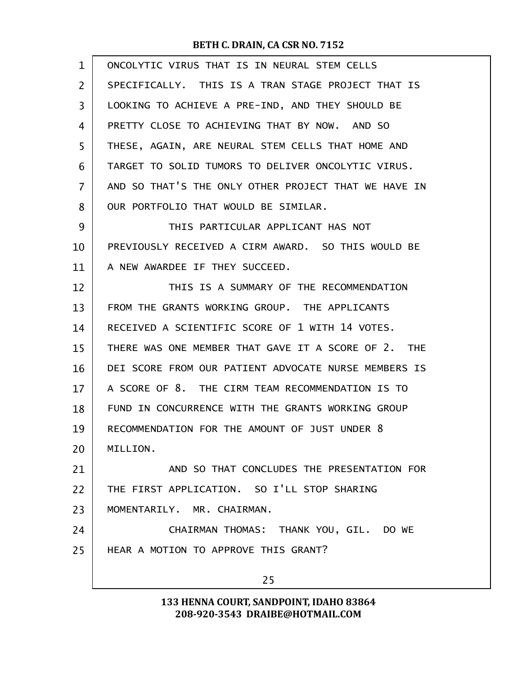| $\mathbf{1}$   | ONCOLYTIC VIRUS THAT IS IN NEURAL STEM CELLS         |
|----------------|------------------------------------------------------|
| $\overline{2}$ | SPECIFICALLY. THIS IS A TRAN STAGE PROJECT THAT IS   |
| 3              | LOOKING TO ACHIEVE A PRE-IND, AND THEY SHOULD BE     |
| 4              | PRETTY CLOSE TO ACHIEVING THAT BY NOW. AND SO        |
| 5              | THESE, AGAIN, ARE NEURAL STEM CELLS THAT HOME AND    |
| 6              | TARGET TO SOLID TUMORS TO DELIVER ONCOLYTIC VIRUS.   |
| 7              | AND SO THAT'S THE ONLY OTHER PROJECT THAT WE HAVE IN |
| 8              | OUR PORTFOLIO THAT WOULD BE SIMILAR.                 |
| 9              | THIS PARTICULAR APPLICANT HAS NOT                    |
| 10             | PREVIOUSLY RECEIVED A CIRM AWARD. SO THIS WOULD BE   |
| 11             | A NEW AWARDEE IF THEY SUCCEED.                       |
| 12             | THIS IS A SUMMARY OF THE RECOMMENDATION              |
| 13             | FROM THE GRANTS WORKING GROUP. THE APPLICANTS        |
| 14             | RECEIVED A SCIENTIFIC SCORE OF 1 WITH 14 VOTES.      |
| 15             | THERE WAS ONE MEMBER THAT GAVE IT A SCORE OF 2. THE  |
| 16             | DEI SCORE FROM OUR PATIENT ADVOCATE NURSE MEMBERS IS |
| 17             | A SCORE OF 8. THE CIRM TEAM RECOMMENDATION IS TO     |
| 18             | FUND IN CONCURRENCE WITH THE GRANTS WORKING GROUP    |
| 19             | RECOMMENDATION FOR THE AMOUNT OF JUST UNDER 8        |
| 20             | MILLION.                                             |
| 21             | AND SO THAT CONCLUDES THE PRESENTATION FOR           |
| 22             | THE FIRST APPLICATION. SO I'LL STOP SHARING          |
| 23             | MOMENTARILY. MR. CHAIRMAN.                           |
| 24             | CHAIRMAN THOMAS: THANK YOU, GIL. DO WE               |
| 25             | HEAR A MOTION TO APPROVE THIS GRANT?                 |
|                | 25                                                   |
|                |                                                      |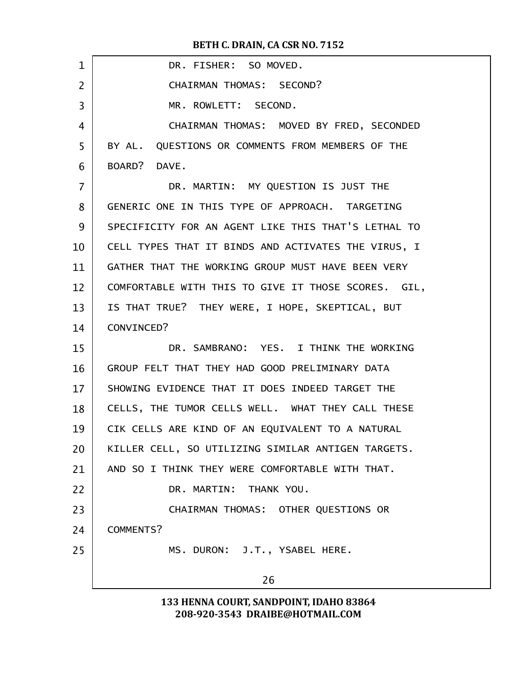| $\mathbf{1}$   | DR. FISHER: SO MOVED.                               |
|----------------|-----------------------------------------------------|
| $\overline{2}$ | CHAIRMAN THOMAS: SECOND?                            |
| 3              | MR. ROWLETT: SECOND.                                |
| 4              | CHAIRMAN THOMAS: MOVED BY FRED, SECONDED            |
| 5              | BY AL. QUESTIONS OR COMMENTS FROM MEMBERS OF THE    |
| 6              | BOARD? DAVE.                                        |
| $\overline{7}$ | DR. MARTIN: MY QUESTION IS JUST THE                 |
| 8              | GENERIC ONE IN THIS TYPE OF APPROACH. TARGETING     |
| 9              | SPECIFICITY FOR AN AGENT LIKE THIS THAT'S LETHAL TO |
| 10             | CELL TYPES THAT IT BINDS AND ACTIVATES THE VIRUS, I |
| 11             | GATHER THAT THE WORKING GROUP MUST HAVE BEEN VERY   |
| 12             | COMFORTABLE WITH THIS TO GIVE IT THOSE SCORES. GIL, |
| 13             | IS THAT TRUE? THEY WERE, I HOPE, SKEPTICAL, BUT     |
| 14             | CONVINCED?                                          |
| 15             | DR. SAMBRANO: YES. I THINK THE WORKING              |
| 16             | GROUP FELT THAT THEY HAD GOOD PRELIMINARY DATA      |
| 17             | SHOWING EVIDENCE THAT IT DOES INDEED TARGET THE     |
| 18             | CELLS, THE TUMOR CELLS WELL. WHAT THEY CALL THESE   |
| 19             | CIK CELLS ARE KIND OF AN EQUIVALENT TO A NATURAL    |
| 20             | KILLER CELL, SO UTILIZING SIMILAR ANTIGEN TARGETS.  |
| 21             | AND SO I THINK THEY WERE COMFORTABLE WITH THAT.     |
| 22             | DR. MARTIN: THANK YOU.                              |
| 23             | CHAIRMAN THOMAS: OTHER QUESTIONS OR                 |
| 24             | COMMENTS?                                           |
| 25             | MS. DURON: J.T., YSABEL HERE.                       |
|                | 26                                                  |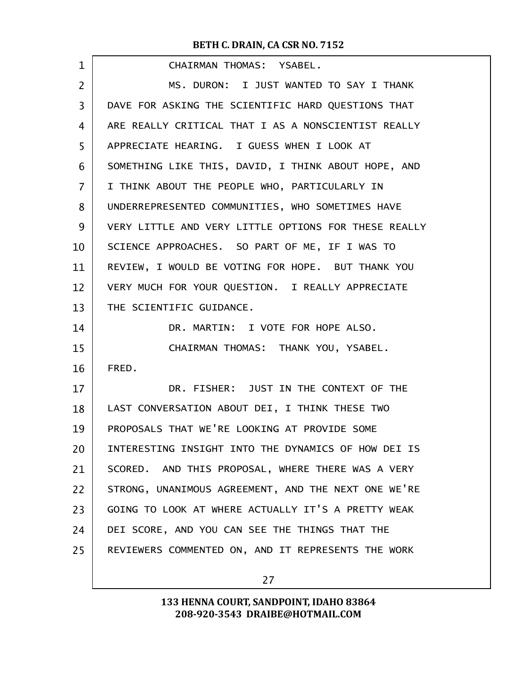| $\mathbf 1$    | CHAIRMAN THOMAS: YSABEL.                             |
|----------------|------------------------------------------------------|
| $\overline{2}$ | MS. DURON: I JUST WANTED TO SAY I THANK              |
| 3              | DAVE FOR ASKING THE SCIENTIFIC HARD QUESTIONS THAT   |
| 4              | ARE REALLY CRITICAL THAT I AS A NONSCIENTIST REALLY  |
| 5              | APPRECIATE HEARING. I GUESS WHEN I LOOK AT           |
| 6              | SOMETHING LIKE THIS, DAVID, I THINK ABOUT HOPE, AND  |
| 7              | I THINK ABOUT THE PEOPLE WHO, PARTICULARLY IN        |
| 8              | UNDERREPRESENTED COMMUNITIES, WHO SOMETIMES HAVE     |
| 9              | VERY LITTLE AND VERY LITTLE OPTIONS FOR THESE REALLY |
| 10             | SCIENCE APPROACHES. SO PART OF ME, IF I WAS TO       |
| 11             | REVIEW, I WOULD BE VOTING FOR HOPE. BUT THANK YOU    |
| 12             | VERY MUCH FOR YOUR QUESTION. I REALLY APPRECIATE     |
| 13             | THE SCIENTIFIC GUIDANCE.                             |
| 14             | DR. MARTIN: I VOTE FOR HOPE ALSO.                    |
| 15             | CHAIRMAN THOMAS: THANK YOU, YSABEL.                  |
| 16             | FRED.                                                |
| 17             | DR. FISHER: JUST IN THE CONTEXT OF THE               |
| 18             | LAST CONVERSATION ABOUT DEI, I THINK THESE TWO       |
| 19             | PROPOSALS THAT WE'RE LOOKING AT PROVIDE SOME         |
| 20             | INTERESTING INSIGHT INTO THE DYNAMICS OF HOW DEI IS  |
| 21             | SCORED. AND THIS PROPOSAL, WHERE THERE WAS A VERY    |
| 22             | STRONG, UNANIMOUS AGREEMENT, AND THE NEXT ONE WE'RE  |
| 23             | GOING TO LOOK AT WHERE ACTUALLY IT'S A PRETTY WEAK   |
| 24             | DEI SCORE, AND YOU CAN SEE THE THINGS THAT THE       |
| 25             | REVIEWERS COMMENTED ON, AND IT REPRESENTS THE WORK   |
|                |                                                      |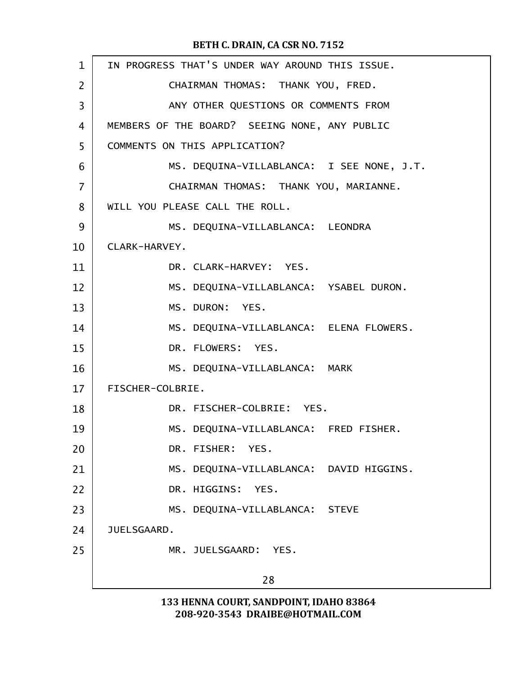| $\mathbf{1}$   | IN PROGRESS THAT'S UNDER WAY AROUND THIS ISSUE. |
|----------------|-------------------------------------------------|
| $\overline{2}$ | CHAIRMAN THOMAS: THANK YOU, FRED.               |
| 3              | ANY OTHER QUESTIONS OR COMMENTS FROM            |
| 4              | MEMBERS OF THE BOARD? SEEING NONE, ANY PUBLIC   |
| 5              | COMMENTS ON THIS APPLICATION?                   |
| 6              | MS. DEQUINA-VILLABLANCA: I SEE NONE, J.T.       |
| $\overline{7}$ | CHAIRMAN THOMAS: THANK YOU, MARIANNE.           |
| 8              | WILL YOU PLEASE CALL THE ROLL.                  |
| 9              | MS. DEQUINA-VILLABLANCA: LEONDRA                |
| 10             | CLARK-HARVEY.                                   |
| 11             | DR. CLARK-HARVEY: YES.                          |
| 12             | MS. DEQUINA-VILLABLANCA: YSABEL DURON.          |
| 13             | MS. DURON: YES.                                 |
| 14             | MS. DEQUINA-VILLABLANCA: ELENA FLOWERS.         |
| 15             | DR. FLOWERS: YES.                               |
| 16             | MS. DEQUINA-VILLABLANCA: MARK                   |
| 17             | FISCHER-COLBRIE.                                |
| 18             | DR. FISCHER-COLBRIE: YES.                       |
| 19             | MS. DEQUINA-VILLABLANCA: FRED FISHER.           |
| 20             | DR. FISHER: YES.                                |
| 21             | MS. DEQUINA-VILLABLANCA: DAVID HIGGINS.         |
| 22             | DR. HIGGINS: YES.                               |
| 23             | MS. DEQUINA-VILLABLANCA: STEVE                  |
| 24             | JUELSGAARD.                                     |
| 25             | MR. JUELSGAARD: YES.                            |
|                | 28                                              |
|                |                                                 |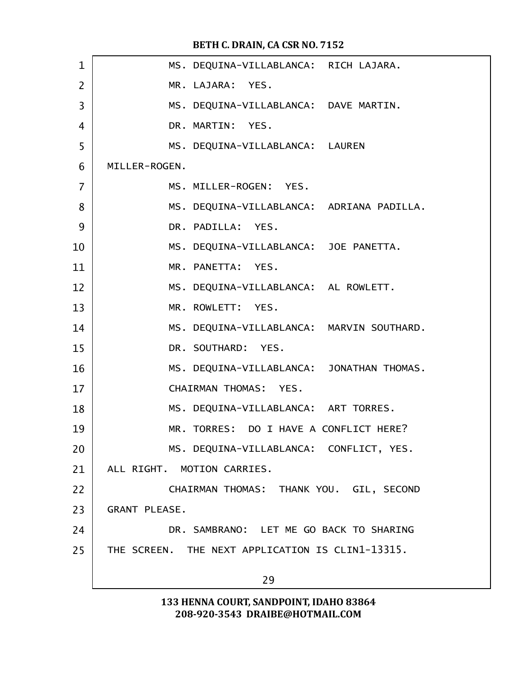| $\mathbf{1}$   | MS. DEQUINA-VILLABLANCA: RICH LAJARA.            |
|----------------|--------------------------------------------------|
| $\overline{2}$ | MR. LAJARA: YES.                                 |
| 3              | MS. DEQUINA-VILLABLANCA: DAVE MARTIN.            |
| $\overline{4}$ | DR. MARTIN: YES.                                 |
| 5              | MS. DEQUINA-VILLABLANCA: LAUREN                  |
| 6              | MILLER-ROGEN.                                    |
| $\overline{7}$ | MS. MILLER-ROGEN: YES.                           |
| 8              | MS. DEQUINA-VILLABLANCA: ADRIANA PADILLA.        |
| 9              | DR. PADILLA: YES.                                |
| 10             | MS. DEQUINA-VILLABLANCA: JOE PANETTA.            |
| 11             | MR. PANETTA: YES.                                |
| 12             | MS. DEQUINA-VILLABLANCA: AL ROWLETT.             |
| 13             | MR. ROWLETT: YES.                                |
| 14             | MS. DEQUINA-VILLABLANCA: MARVIN SOUTHARD.        |
| 15             | DR. SOUTHARD: YES.                               |
| 16             | MS. DEQUINA-VILLABLANCA: JONATHAN THOMAS.        |
| 17             | CHAIRMAN THOMAS: YES.                            |
| 18             | MS. DEQUINA-VILLABLANCA: ART TORRES.             |
| 19             | MR. TORRES: DO I HAVE A CONFLICT HERE?           |
| 20             | MS. DEQUINA-VILLABLANCA: CONFLICT, YES.          |
| 21             | ALL RIGHT. MOTION CARRIES.                       |
| 22             | CHAIRMAN THOMAS: THANK YOU. GIL, SECOND          |
| 23             | <b>GRANT PLEASE.</b>                             |
| 24             | DR. SAMBRANO: LET ME GO BACK TO SHARING          |
| 25             | THE SCREEN. THE NEXT APPLICATION IS CLIN1-13315. |
|                | 29                                               |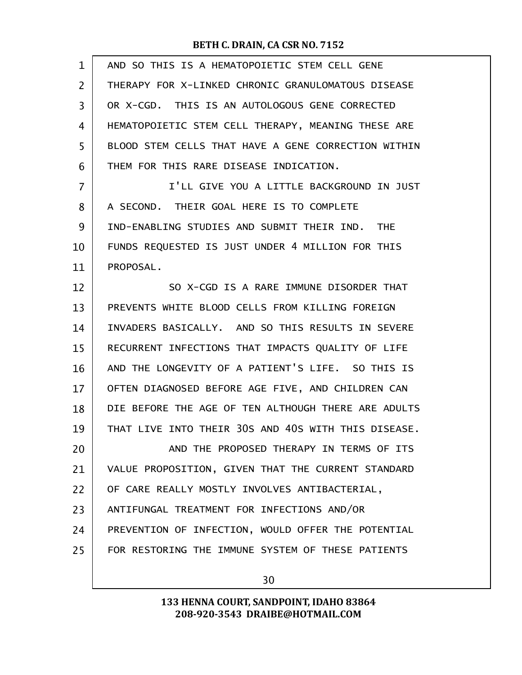| $\mathbf{1}$ | AND SO THIS IS A HEMATOPOIETIC STEM CELL GENE       |
|--------------|-----------------------------------------------------|
| 2            | THERAPY FOR X-LINKED CHRONIC GRANULOMATOUS DISEASE  |
| 3            | OR X-CGD. THIS IS AN AUTOLOGOUS GENE CORRECTED      |
| 4            | HEMATOPOIETIC STEM CELL THERAPY, MEANING THESE ARE  |
| 5            | BLOOD STEM CELLS THAT HAVE A GENE CORRECTION WITHIN |
| 6            | THEM FOR THIS RARE DISEASE INDICATION.              |
| 7            | I'LL GIVE YOU A LITTLE BACKGROUND IN JUST           |
| 8            | A SECOND. THEIR GOAL HERE IS TO COMPLETE            |
| 9            | IND-ENABLING STUDIES AND SUBMIT THEIR IND. THE      |
| 10           | FUNDS REQUESTED IS JUST UNDER 4 MILLION FOR THIS    |
| 11           | PROPOSAL.                                           |
| 12           | SO X-CGD IS A RARE IMMUNE DISORDER THAT             |
| 13           | PREVENTS WHITE BLOOD CELLS FROM KILLING FOREIGN     |
| 14           | INVADERS BASICALLY. AND SO THIS RESULTS IN SEVERE   |
| 15           | RECURRENT INFECTIONS THAT IMPACTS QUALITY OF LIFE   |
| 16           | AND THE LONGEVITY OF A PATIENT'S LIFE. SO THIS IS   |
| 17           | OFTEN DIAGNOSED BEFORE AGE FIVE, AND CHILDREN CAN   |
| 18           | DIE BEFORE THE AGE OF TEN ALTHOUGH THERE ARE ADULTS |
| 19           | THAT LIVE INTO THEIR 30S AND 40S WITH THIS DISEASE. |
| 20           | AND THE PROPOSED THERAPY IN TERMS OF ITS            |
| 21           | VALUE PROPOSITION, GIVEN THAT THE CURRENT STANDARD  |
| 22           | OF CARE REALLY MOSTLY INVOLVES ANTIBACTERIAL,       |
| 23           | ANTIFUNGAL TREATMENT FOR INFECTIONS AND/OR          |
| 24           | PREVENTION OF INFECTION, WOULD OFFER THE POTENTIAL  |
| 25           | FOR RESTORING THE IMMUNE SYSTEM OF THESE PATIENTS   |
|              |                                                     |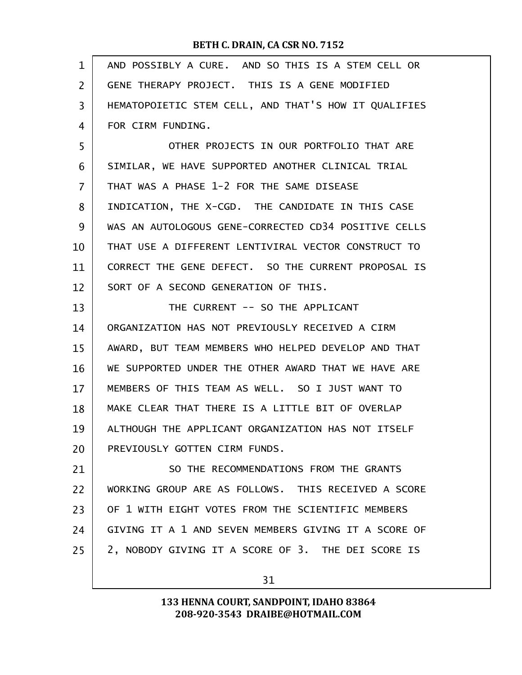| $\mathbf{1}$   | AND POSSIBLY A CURE. AND SO THIS IS A STEM CELL OR   |
|----------------|------------------------------------------------------|
| $\overline{2}$ | GENE THERAPY PROJECT. THIS IS A GENE MODIFIED        |
| 3              | HEMATOPOIETIC STEM CELL, AND THAT'S HOW IT QUALIFIES |
| 4              | FOR CIRM FUNDING.                                    |
| 5              | OTHER PROJECTS IN OUR PORTFOLIO THAT ARE             |
| 6              | SIMILAR, WE HAVE SUPPORTED ANOTHER CLINICAL TRIAL    |
| $\overline{7}$ | THAT WAS A PHASE 1-2 FOR THE SAME DISEASE            |
| 8              | INDICATION, THE X-CGD. THE CANDIDATE IN THIS CASE    |
| 9              | WAS AN AUTOLOGOUS GENE-CORRECTED CD34 POSITIVE CELLS |
| 10             | THAT USE A DIFFERENT LENTIVIRAL VECTOR CONSTRUCT TO  |
| 11             | CORRECT THE GENE DEFECT. SO THE CURRENT PROPOSAL IS  |
| 12             | SORT OF A SECOND GENERATION OF THIS.                 |
| 13             | THE CURRENT -- SO THE APPLICANT                      |
| 14             | ORGANIZATION HAS NOT PREVIOUSLY RECEIVED A CIRM      |
| 15             | AWARD, BUT TEAM MEMBERS WHO HELPED DEVELOP AND THAT  |
| 16             | WE SUPPORTED UNDER THE OTHER AWARD THAT WE HAVE ARE  |
| 17             | MEMBERS OF THIS TEAM AS WELL. SO I JUST WANT TO      |
| 18             | MAKE CLEAR THAT THERE IS A LITTLE BIT OF OVERLAP     |
| 19             | ALTHOUGH THE APPLICANT ORGANIZATION HAS NOT ITSELF   |
| 20             | PREVIOUSLY GOTTEN CIRM FUNDS.                        |
| 21             | SO THE RECOMMENDATIONS FROM THE GRANTS               |
| 22             | WORKING GROUP ARE AS FOLLOWS. THIS RECEIVED A SCORE  |
| 23             | OF 1 WITH EIGHT VOTES FROM THE SCIENTIFIC MEMBERS    |
| 24             | GIVING IT A 1 AND SEVEN MEMBERS GIVING IT A SCORE OF |
| 25             | 2, NOBODY GIVING IT A SCORE OF 3. THE DEI SCORE IS   |
|                |                                                      |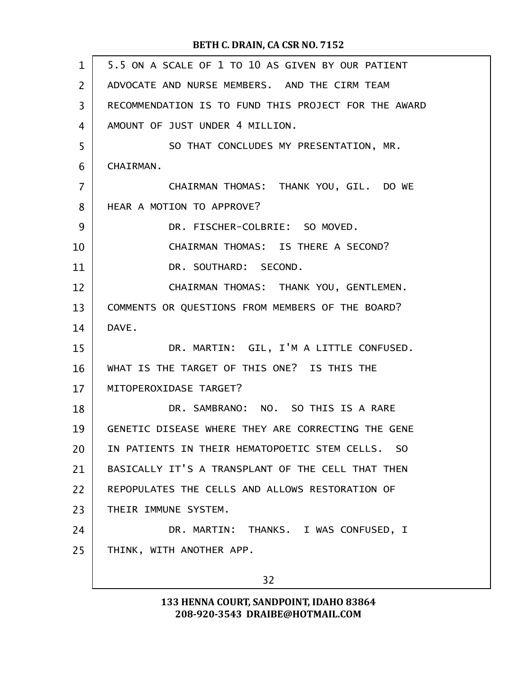| 5.5 ON A SCALE OF 1 TO 10 AS GIVEN BY OUR PATIENT    |
|------------------------------------------------------|
| ADVOCATE AND NURSE MEMBERS. AND THE CIRM TEAM        |
| RECOMMENDATION IS TO FUND THIS PROJECT FOR THE AWARD |
| AMOUNT OF JUST UNDER 4 MILLION.                      |
| SO THAT CONCLUDES MY PRESENTATION, MR.               |
| CHAIRMAN.                                            |
| CHAIRMAN THOMAS: THANK YOU, GIL. DO WE               |
| HEAR A MOTION TO APPROVE?                            |
| DR. FISCHER-COLBRIE: SO MOVED.                       |
| CHAIRMAN THOMAS: IS THERE A SECOND?                  |
| DR. SOUTHARD: SECOND.                                |
| CHAIRMAN THOMAS: THANK YOU, GENTLEMEN.               |
| COMMENTS OR QUESTIONS FROM MEMBERS OF THE BOARD?     |
| DAVE.                                                |
| DR. MARTIN: GIL, I'M A LITTLE CONFUSED.              |
| WHAT IS THE TARGET OF THIS ONE? IS THIS THE          |
| MITOPEROXIDASE TARGET?                               |
| DR. SAMBRANO: NO. SO THIS IS A RARE                  |
| GENETIC DISEASE WHERE THEY ARE CORRECTING THE GENE   |
| IN PATIENTS IN THEIR HEMATOPOETIC STEM CELLS. SO     |
| BASICALLY IT'S A TRANSPLANT OF THE CELL THAT THEN    |
| REPOPULATES THE CELLS AND ALLOWS RESTORATION OF      |
| THEIR IMMUNE SYSTEM.                                 |
| DR. MARTIN: THANKS. I WAS CONFUSED, I                |
| THINK, WITH ANOTHER APP.                             |
| 32                                                   |
|                                                      |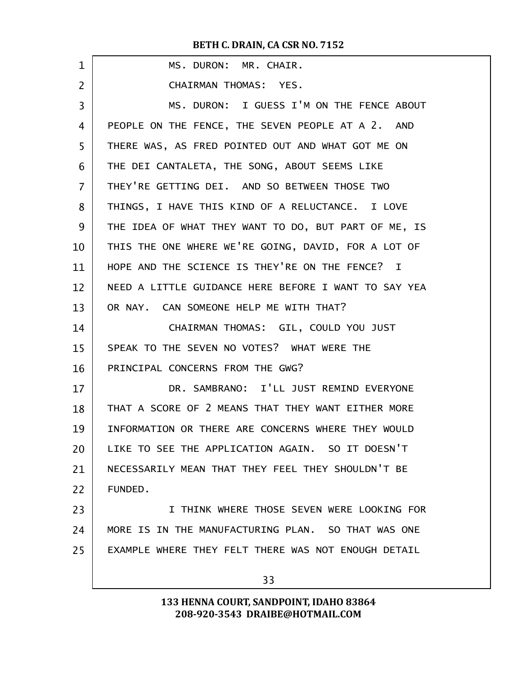| $\mathbf 1$    | MS. DURON: MR. CHAIR.                                |
|----------------|------------------------------------------------------|
| $\overline{2}$ | CHAIRMAN THOMAS: YES.                                |
| 3              | MS. DURON: I GUESS I'M ON THE FENCE ABOUT            |
| 4              | PEOPLE ON THE FENCE, THE SEVEN PEOPLE AT A 2. AND    |
| 5              | THERE WAS, AS FRED POINTED OUT AND WHAT GOT ME ON    |
| 6              | THE DEI CANTALETA, THE SONG, ABOUT SEEMS LIKE        |
| $\overline{7}$ | THEY'RE GETTING DEI. AND SO BETWEEN THOSE TWO        |
| 8              | THINGS, I HAVE THIS KIND OF A RELUCTANCE. I LOVE     |
| 9              | THE IDEA OF WHAT THEY WANT TO DO, BUT PART OF ME, IS |
| 10             | THIS THE ONE WHERE WE'RE GOING, DAVID, FOR A LOT OF  |
| 11             | HOPE AND THE SCIENCE IS THEY'RE ON THE FENCE? I      |
| 12             | NEED A LITTLE GUIDANCE HERE BEFORE I WANT TO SAY YEA |
| 13             | OR NAY. CAN SOMEONE HELP ME WITH THAT?               |
| 14             | CHAIRMAN THOMAS: GIL, COULD YOU JUST                 |
| 15             | SPEAK TO THE SEVEN NO VOTES? WHAT WERE THE           |
| 16             | PRINCIPAL CONCERNS FROM THE GWG?                     |
| 17             | DR. SAMBRANO: I'LL JUST REMIND EVERYONE              |
| 18             | THAT A SCORE OF 2 MEANS THAT THEY WANT EITHER MORE   |
| 19             | INFORMATION OR THERE ARE CONCERNS WHERE THEY WOULD   |
| 20             | LIKE TO SEE THE APPLICATION AGAIN. SO IT DOESN'T     |
| 21             | NECESSARILY MEAN THAT THEY FEEL THEY SHOULDN'T BE    |
| 22             | FUNDED.                                              |
| 23             | I THINK WHERE THOSE SEVEN WERE LOOKING FOR           |
| 24             | MORE IS IN THE MANUFACTURING PLAN. SO THAT WAS ONE   |
| 25             | EXAMPLE WHERE THEY FELT THERE WAS NOT ENOUGH DETAIL  |
|                |                                                      |
|                | 33                                                   |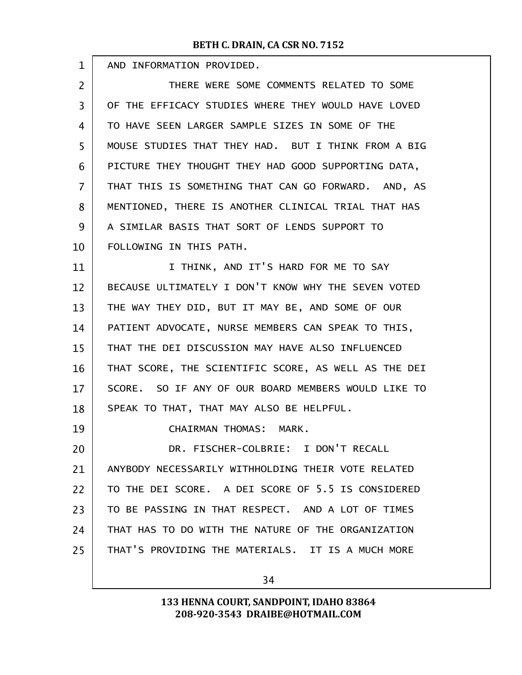| $\mathbf{1}$      | AND INFORMATION PROVIDED.                            |
|-------------------|------------------------------------------------------|
| $\overline{2}$    | THERE WERE SOME COMMENTS RELATED TO SOME             |
| 3                 | OF THE EFFICACY STUDIES WHERE THEY WOULD HAVE LOVED  |
| 4                 | TO HAVE SEEN LARGER SAMPLE SIZES IN SOME OF THE      |
| 5                 | MOUSE STUDIES THAT THEY HAD. BUT I THINK FROM A BIG  |
| 6                 | PICTURE THEY THOUGHT THEY HAD GOOD SUPPORTING DATA,  |
| $\overline{7}$    | THAT THIS IS SOMETHING THAT CAN GO FORWARD. AND, AS  |
| 8                 | MENTIONED, THERE IS ANOTHER CLINICAL TRIAL THAT HAS  |
| 9                 | A SIMILAR BASIS THAT SORT OF LENDS SUPPORT TO        |
| 10                | FOLLOWING IN THIS PATH.                              |
| 11                | I THINK, AND IT'S HARD FOR ME TO SAY                 |
| $12 \overline{ }$ | BECAUSE ULTIMATELY I DON'T KNOW WHY THE SEVEN VOTED  |
| 13                | THE WAY THEY DID, BUT IT MAY BE, AND SOME OF OUR     |
| 14                | PATIENT ADVOCATE, NURSE MEMBERS CAN SPEAK TO THIS,   |
| 15                | THAT THE DEI DISCUSSION MAY HAVE ALSO INFLUENCED     |
| 16                | THAT SCORE, THE SCIENTIFIC SCORE, AS WELL AS THE DEI |
| 17                | SCORE. SO IF ANY OF OUR BOARD MEMBERS WOULD LIKE TO  |
| 18                | SPEAK TO THAT, THAT MAY ALSO BE HELPFUL.             |
| 19                | CHAIRMAN THOMAS: MARK.                               |
| 20                | DR. FISCHER-COLBRIE: I DON'T RECALL                  |
| 21                | ANYBODY NECESSARILY WITHHOLDING THEIR VOTE RELATED   |
| 22                | TO THE DEI SCORE. A DEI SCORE OF 5.5 IS CONSIDERED   |
| 23                | TO BE PASSING IN THAT RESPECT. AND A LOT OF TIMES    |
| 24                | THAT HAS TO DO WITH THE NATURE OF THE ORGANIZATION   |
| 25                | THAT'S PROVIDING THE MATERIALS. IT IS A MUCH MORE    |
|                   |                                                      |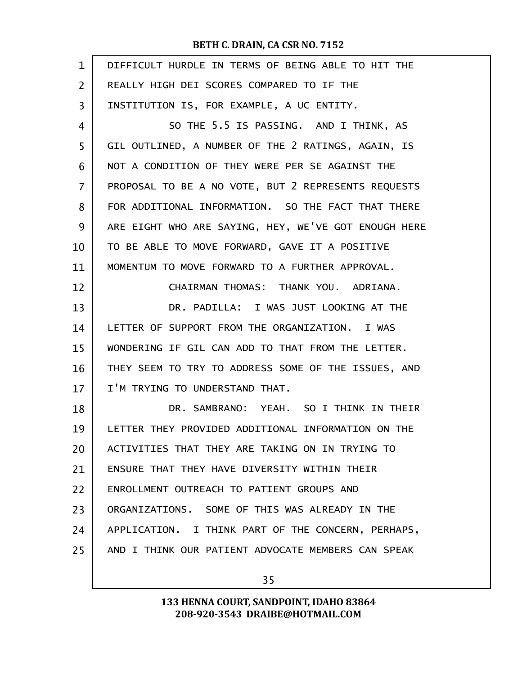| $\mathbf{1}$ | DIFFICULT HURDLE IN TERMS OF BEING ABLE TO HIT THE   |
|--------------|------------------------------------------------------|
| 2            | REALLY HIGH DEI SCORES COMPARED TO IF THE            |
| 3            | INSTITUTION IS, FOR EXAMPLE, A UC ENTITY.            |
| 4            | SO THE 5.5 IS PASSING. AND I THINK, AS               |
| 5            | GIL OUTLINED, A NUMBER OF THE 2 RATINGS, AGAIN, IS   |
| 6            | NOT A CONDITION OF THEY WERE PER SE AGAINST THE      |
| 7            | PROPOSAL TO BE A NO VOTE, BUT 2 REPRESENTS REQUESTS  |
| 8            | FOR ADDITIONAL INFORMATION. SO THE FACT THAT THERE   |
| 9            | ARE EIGHT WHO ARE SAYING, HEY, WE'VE GOT ENOUGH HERE |
| 10           | TO BE ABLE TO MOVE FORWARD, GAVE IT A POSITIVE       |
| 11           | MOMENTUM TO MOVE FORWARD TO A FURTHER APPROVAL.      |
| 12           | CHAIRMAN THOMAS: THANK YOU. ADRIANA.                 |
| 13           | DR. PADILLA: I WAS JUST LOOKING AT THE               |
| 14           | LETTER OF SUPPORT FROM THE ORGANIZATION. I WAS       |
| 15           | WONDERING IF GIL CAN ADD TO THAT FROM THE LETTER.    |
| 16           | THEY SEEM TO TRY TO ADDRESS SOME OF THE ISSUES, AND  |
| 17           | I'M TRYING TO UNDERSTAND THAT.                       |
| 18           | DR. SAMBRANO: YEAH. SO I THINK IN THEIR              |
| 19           | LETTER THEY PROVIDED ADDITIONAL INFORMATION ON THE   |
| 20           | ACTIVITIES THAT THEY ARE TAKING ON IN TRYING TO      |
| 21           | ENSURE THAT THEY HAVE DIVERSITY WITHIN THEIR         |
| 22           | ENROLLMENT OUTREACH TO PATIENT GROUPS AND            |
| 23           | ORGANIZATIONS. SOME OF THIS WAS ALREADY IN THE       |
| 24           | APPLICATION. I THINK PART OF THE CONCERN, PERHAPS,   |
| 25           | AND I THINK OUR PATIENT ADVOCATE MEMBERS CAN SPEAK   |
|              |                                                      |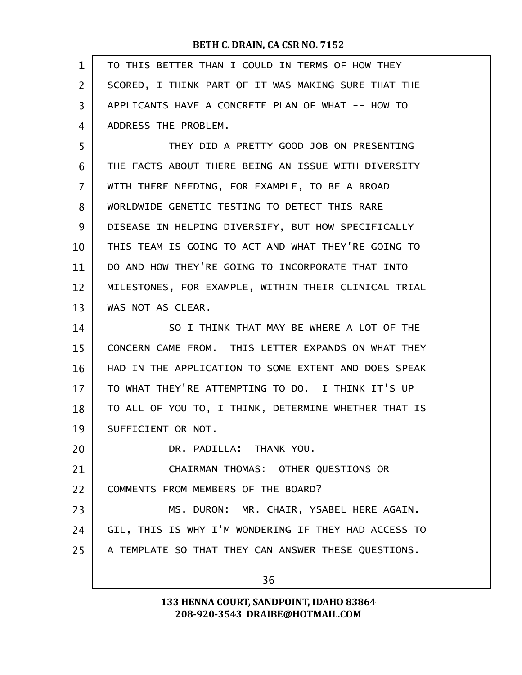| $\mathbf{1}$ | TO THIS BETTER THAN I COULD IN TERMS OF HOW THEY     |
|--------------|------------------------------------------------------|
| 2            | SCORED, I THINK PART OF IT WAS MAKING SURE THAT THE  |
| 3            | APPLICANTS HAVE A CONCRETE PLAN OF WHAT -- HOW TO    |
| 4            | ADDRESS THE PROBLEM.                                 |
| 5            | THEY DID A PRETTY GOOD JOB ON PRESENTING             |
| 6            | THE FACTS ABOUT THERE BEING AN ISSUE WITH DIVERSITY  |
| 7            | WITH THERE NEEDING, FOR EXAMPLE, TO BE A BROAD       |
| 8            | WORLDWIDE GENETIC TESTING TO DETECT THIS RARE        |
| 9            | DISEASE IN HELPING DIVERSIFY, BUT HOW SPECIFICALLY   |
| 10           | THIS TEAM IS GOING TO ACT AND WHAT THEY'RE GOING TO  |
| 11           | DO AND HOW THEY'RE GOING TO INCORPORATE THAT INTO    |
| 12           | MILESTONES, FOR EXAMPLE, WITHIN THEIR CLINICAL TRIAL |
| 13           | WAS NOT AS CLEAR.                                    |
| 14           | SO I THINK THAT MAY BE WHERE A LOT OF THE            |
| 15           | CONCERN CAME FROM. THIS LETTER EXPANDS ON WHAT THEY  |
| 16           | HAD IN THE APPLICATION TO SOME EXTENT AND DOES SPEAK |
| 17           | TO WHAT THEY'RE ATTEMPTING TO DO. I THINK IT'S UP    |
| 18           | TO ALL OF YOU TO, I THINK, DETERMINE WHETHER THAT IS |
| 19           | SUFFICIENT OR NOT.                                   |
| 20           | DR. PADILLA: THANK YOU.                              |
| 21           | CHAIRMAN THOMAS: OTHER QUESTIONS OR                  |
| 22           | COMMENTS FROM MEMBERS OF THE BOARD?                  |
| 23           | MS. DURON: MR. CHAIR, YSABEL HERE AGAIN.             |
| 24           | GIL, THIS IS WHY I'M WONDERING IF THEY HAD ACCESS TO |
| 25           | A TEMPLATE SO THAT THEY CAN ANSWER THESE QUESTIONS.  |
|              |                                                      |
|              | 36                                                   |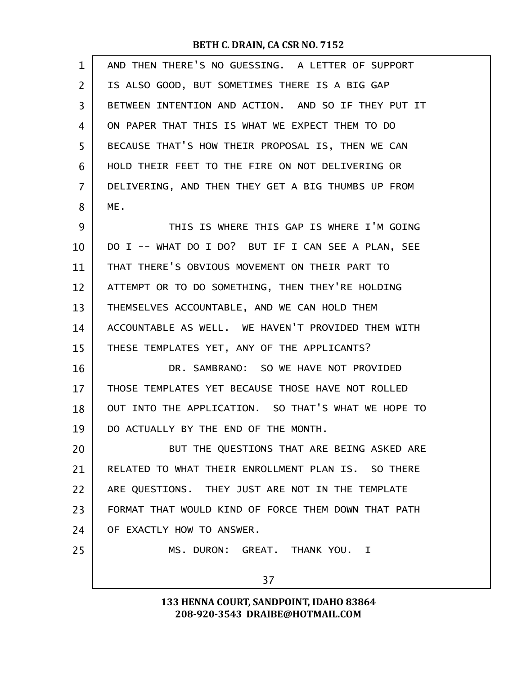| $\mathbf 1$ | AND THEN THERE'S NO GUESSING. A LETTER OF SUPPORT   |
|-------------|-----------------------------------------------------|
| 2           | IS ALSO GOOD, BUT SOMETIMES THERE IS A BIG GAP      |
| 3           | BETWEEN INTENTION AND ACTION. AND SO IF THEY PUT IT |
| 4           | ON PAPER THAT THIS IS WHAT WE EXPECT THEM TO DO     |
| 5           | BECAUSE THAT'S HOW THEIR PROPOSAL IS, THEN WE CAN   |
| 6           | HOLD THEIR FEET TO THE FIRE ON NOT DELIVERING OR    |
| 7           | DELIVERING, AND THEN THEY GET A BIG THUMBS UP FROM  |
| 8           | ME.                                                 |
| 9           | THIS IS WHERE THIS GAP IS WHERE I'M GOING           |
| 10          | DO I -- WHAT DO I DO? BUT IF I CAN SEE A PLAN, SEE  |
| 11          | THAT THERE'S OBVIOUS MOVEMENT ON THEIR PART TO      |
| 12          | ATTEMPT OR TO DO SOMETHING, THEN THEY'RE HOLDING    |
| 13          | THEMSELVES ACCOUNTABLE, AND WE CAN HOLD THEM        |
| 14          | ACCOUNTABLE AS WELL. WE HAVEN'T PROVIDED THEM WITH  |
| 15          | THESE TEMPLATES YET, ANY OF THE APPLICANTS?         |
| 16          | DR. SAMBRANO: SO WE HAVE NOT PROVIDED               |
| 17          | THOSE TEMPLATES YET BECAUSE THOSE HAVE NOT ROLLED   |
| 18          | OUT INTO THE APPLICATION. SO THAT'S WHAT WE HOPE TO |
| 19          | DO ACTUALLY BY THE END OF THE MONTH.                |
| 20          | BUT THE QUESTIONS THAT ARE BEING ASKED ARE          |
| 21          | RELATED TO WHAT THEIR ENROLLMENT PLAN IS. SO THERE  |
| 22          | ARE QUESTIONS. THEY JUST ARE NOT IN THE TEMPLATE    |
| 23          | FORMAT THAT WOULD KIND OF FORCE THEM DOWN THAT PATH |
| 24          | OF EXACTLY HOW TO ANSWER.                           |
| 25          | MS. DURON: GREAT. THANK YOU. I                      |
|             | 37                                                  |
|             |                                                     |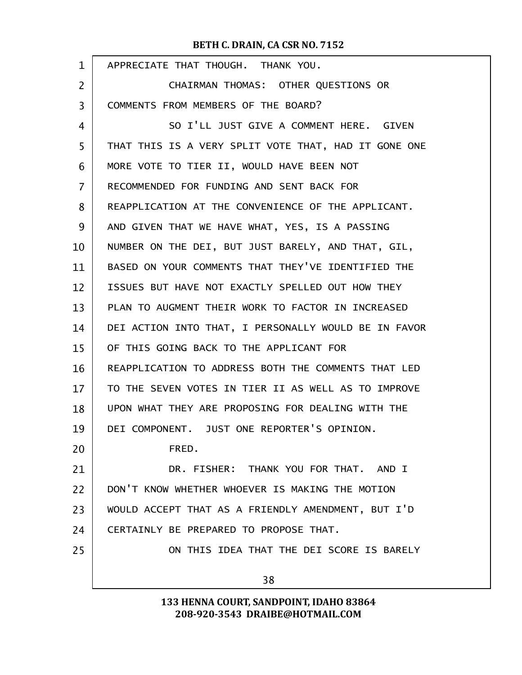| $\mathbf{1}$ | APPRECIATE THAT THOUGH. THANK YOU.                   |
|--------------|------------------------------------------------------|
| 2            | CHAIRMAN THOMAS: OTHER QUESTIONS OR                  |
| 3            | COMMENTS FROM MEMBERS OF THE BOARD?                  |
| 4            | SO I'LL JUST GIVE A COMMENT HERE. GIVEN              |
| 5            | THAT THIS IS A VERY SPLIT VOTE THAT, HAD IT GONE ONE |
| 6            | MORE VOTE TO TIER II, WOULD HAVE BEEN NOT            |
| 7            | RECOMMENDED FOR FUNDING AND SENT BACK FOR            |
| 8            | REAPPLICATION AT THE CONVENIENCE OF THE APPLICANT.   |
| 9            | AND GIVEN THAT WE HAVE WHAT, YES, IS A PASSING       |
| 10           | NUMBER ON THE DEI, BUT JUST BARELY, AND THAT, GIL,   |
| 11           | BASED ON YOUR COMMENTS THAT THEY'VE IDENTIFIED THE   |
| 12           | ISSUES BUT HAVE NOT EXACTLY SPELLED OUT HOW THEY     |
| 13           | PLAN TO AUGMENT THEIR WORK TO FACTOR IN INCREASED    |
| 14           | DEI ACTION INTO THAT, I PERSONALLY WOULD BE IN FAVOR |
| 15           | OF THIS GOING BACK TO THE APPLICANT FOR              |
| 16           | REAPPLICATION TO ADDRESS BOTH THE COMMENTS THAT LED  |
| 17           | TO THE SEVEN VOTES IN TIER II AS WELL AS TO IMPROVE  |
| 18           | UPON WHAT THEY ARE PROPOSING FOR DEALING WITH THE    |
| 19           | DEI COMPONENT. JUST ONE REPORTER'S OPINION.          |
| 20           | FRED.                                                |
| 21           | DR. FISHER: THANK YOU FOR THAT. AND I                |
| 22           | DON'T KNOW WHETHER WHOEVER IS MAKING THE MOTION      |
| 23           | WOULD ACCEPT THAT AS A FRIENDLY AMENDMENT, BUT I'D   |
| 24           | CERTAINLY BE PREPARED TO PROPOSE THAT.               |
| 25           | ON THIS IDEA THAT THE DEI SCORE IS BARELY            |
|              | 38                                                   |
|              |                                                      |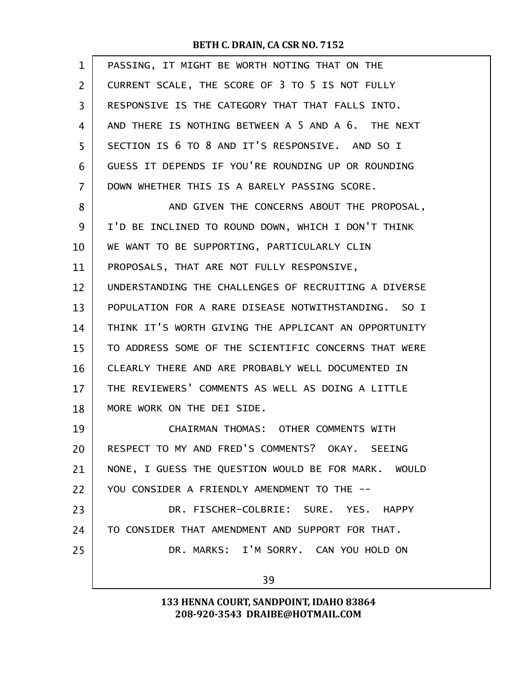| 1  | PASSING, IT MIGHT BE WORTH NOTING THAT ON THE        |
|----|------------------------------------------------------|
| 2  | CURRENT SCALE, THE SCORE OF 3 TO 5 IS NOT FULLY      |
| 3  | RESPONSIVE IS THE CATEGORY THAT THAT FALLS INTO.     |
| 4  | AND THERE IS NOTHING BETWEEN A 5 AND A 6. THE NEXT   |
| 5  | SECTION IS 6 TO 8 AND IT'S RESPONSIVE. AND SO I      |
| 6  | GUESS IT DEPENDS IF YOU'RE ROUNDING UP OR ROUNDING   |
| 7  | DOWN WHETHER THIS IS A BARELY PASSING SCORE.         |
| 8  | AND GIVEN THE CONCERNS ABOUT THE PROPOSAL,           |
| 9  | I'D BE INCLINED TO ROUND DOWN, WHICH I DON'T THINK   |
| 10 | WE WANT TO BE SUPPORTING, PARTICULARLY CLIN          |
| 11 | PROPOSALS, THAT ARE NOT FULLY RESPONSIVE,            |
| 12 | UNDERSTANDING THE CHALLENGES OF RECRUITING A DIVERSE |
| 13 | POPULATION FOR A RARE DISEASE NOTWITHSTANDING. SO I  |
| 14 | THINK IT'S WORTH GIVING THE APPLICANT AN OPPORTUNITY |
| 15 | TO ADDRESS SOME OF THE SCIENTIFIC CONCERNS THAT WERE |
| 16 | CLEARLY THERE AND ARE PROBABLY WELL DOCUMENTED IN    |
| 17 | THE REVIEWERS' COMMENTS AS WELL AS DOING A LITTLE    |
| 18 | MORE WORK ON THE DEI SIDE.                           |
| 19 | CHAIRMAN THOMAS: OTHER COMMENTS WITH                 |
| 20 | RESPECT TO MY AND FRED'S COMMENTS? OKAY. SEEING      |
| 21 | NONE, I GUESS THE QUESTION WOULD BE FOR MARK. WOULD  |
| 22 | YOU CONSIDER A FRIENDLY AMENDMENT TO THE --          |
| 23 | DR. FISCHER-COLBRIE: SURE. YES. HAPPY                |
| 24 | TO CONSIDER THAT AMENDMENT AND SUPPORT FOR THAT.     |
| 25 | DR. MARKS: I'M SORRY. CAN YOU HOLD ON                |
|    | 39                                                   |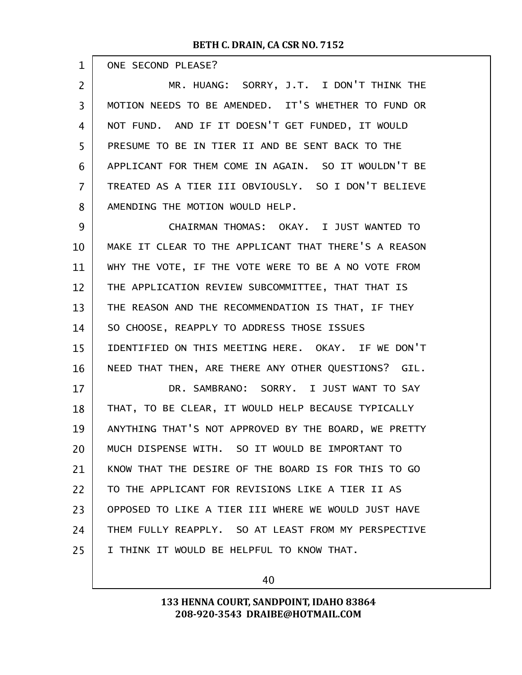$\mathbf{r}$ 

| $\mathbf 1$    | ONE SECOND PLEASE?                                   |
|----------------|------------------------------------------------------|
| $\overline{2}$ | MR. HUANG: SORRY, J.T. I DON'T THINK THE             |
| $\overline{3}$ | MOTION NEEDS TO BE AMENDED. IT'S WHETHER TO FUND OR  |
| 4              | NOT FUND. AND IF IT DOESN'T GET FUNDED, IT WOULD     |
| 5              | PRESUME TO BE IN TIER II AND BE SENT BACK TO THE     |
| 6              | APPLICANT FOR THEM COME IN AGAIN. SO IT WOULDN'T BE  |
| $\overline{7}$ | TREATED AS A TIER III OBVIOUSLY. SO I DON'T BELIEVE  |
| 8              | AMENDING THE MOTION WOULD HELP.                      |
| 9              | CHAIRMAN THOMAS: OKAY. I JUST WANTED TO              |
| 10             | MAKE IT CLEAR TO THE APPLICANT THAT THERE'S A REASON |
| 11             | WHY THE VOTE, IF THE VOTE WERE TO BE A NO VOTE FROM  |
| 12             | THE APPLICATION REVIEW SUBCOMMITTEE, THAT THAT IS    |
| 13             | THE REASON AND THE RECOMMENDATION IS THAT, IF THEY   |
| 14             | SO CHOOSE, REAPPLY TO ADDRESS THOSE ISSUES           |
| 15             | IDENTIFIED ON THIS MEETING HERE. OKAY. IF WE DON'T   |
| 16             | NEED THAT THEN, ARE THERE ANY OTHER QUESTIONS? GIL.  |
| 17             | DR. SAMBRANO: SORRY. I JUST WANT TO SAY              |
| 18             | THAT, TO BE CLEAR, IT WOULD HELP BECAUSE TYPICALLY   |
| 19             | ANYTHING THAT'S NOT APPROVED BY THE BOARD, WE PRETTY |
| 20             | MUCH DISPENSE WITH. SO IT WOULD BE IMPORTANT TO      |
| 21             | KNOW THAT THE DESIRE OF THE BOARD IS FOR THIS TO GO  |
| 22             | TO THE APPLICANT FOR REVISIONS LIKE A TIER II AS     |
| 23             | OPPOSED TO LIKE A TIER III WHERE WE WOULD JUST HAVE  |
| 24             | THEM FULLY REAPPLY, SO AT LEAST FROM MY PERSPECTIVE  |
| 25             | I THINK IT WOULD BE HELPFUL TO KNOW THAT.            |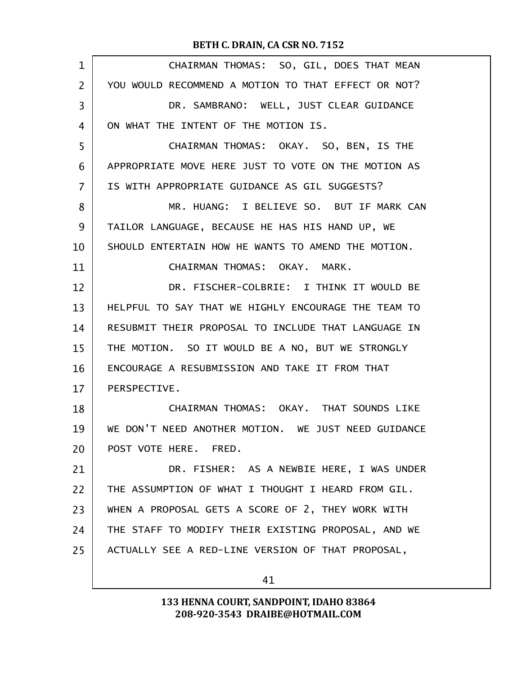| 1  | CHAIRMAN THOMAS: SO, GIL, DOES THAT MEAN            |
|----|-----------------------------------------------------|
| 2  | YOU WOULD RECOMMEND A MOTION TO THAT EFFECT OR NOT? |
| 3  | DR. SAMBRANO: WELL, JUST CLEAR GUIDANCE             |
| 4  | ON WHAT THE INTENT OF THE MOTION IS.                |
| 5  | CHAIRMAN THOMAS: OKAY. SO, BEN, IS THE              |
| 6  | APPROPRIATE MOVE HERE JUST TO VOTE ON THE MOTION AS |
| 7  | IS WITH APPROPRIATE GUIDANCE AS GIL SUGGESTS?       |
| 8  | MR. HUANG: I BELIEVE SO. BUT IF MARK CAN            |
| 9  | TAILOR LANGUAGE, BECAUSE HE HAS HIS HAND UP, WE     |
| 10 | SHOULD ENTERTAIN HOW HE WANTS TO AMEND THE MOTION.  |
| 11 | CHAIRMAN THOMAS: OKAY. MARK.                        |
| 12 | DR. FISCHER-COLBRIE: I THINK IT WOULD BE            |
| 13 | HELPFUL TO SAY THAT WE HIGHLY ENCOURAGE THE TEAM TO |
| 14 | RESUBMIT THEIR PROPOSAL TO INCLUDE THAT LANGUAGE IN |
| 15 | THE MOTION. SO IT WOULD BE A NO, BUT WE STRONGLY    |
| 16 | ENCOURAGE A RESUBMISSION AND TAKE IT FROM THAT      |
| 17 | PERSPECTIVE.                                        |
| 18 | CHAIRMAN THOMAS: OKAY. THAT SOUNDS LIKE             |
| 19 | WE DON'T NEED ANOTHER MOTION. WE JUST NEED GUIDANCE |
| 20 | POST VOTE HERE. FRED.                               |
| 21 | DR. FISHER: AS A NEWBIE HERE, I WAS UNDER           |
| 22 | THE ASSUMPTION OF WHAT I THOUGHT I HEARD FROM GIL.  |
| 23 | WHEN A PROPOSAL GETS A SCORE OF 2, THEY WORK WITH   |
| 24 | THE STAFF TO MODIFY THEIR EXISTING PROPOSAL, AND WE |
| 25 | ACTUALLY SEE A RED-LINE VERSION OF THAT PROPOSAL,   |
|    |                                                     |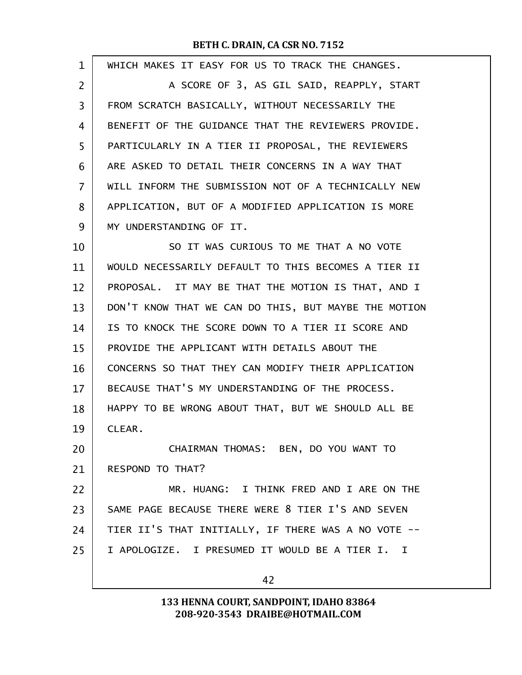| $\mathbf 1$ | WHICH MAKES IT EASY FOR US TO TRACK THE CHANGES.     |
|-------------|------------------------------------------------------|
| 2           | A SCORE OF 3, AS GIL SAID, REAPPLY, START            |
| 3           | FROM SCRATCH BASICALLY, WITHOUT NECESSARILY THE      |
| 4           | BENEFIT OF THE GUIDANCE THAT THE REVIEWERS PROVIDE.  |
| 5           | PARTICULARLY IN A TIER II PROPOSAL, THE REVIEWERS    |
| 6           | ARE ASKED TO DETAIL THEIR CONCERNS IN A WAY THAT     |
| 7           | WILL INFORM THE SUBMISSION NOT OF A TECHNICALLY NEW  |
| 8           | APPLICATION, BUT OF A MODIFIED APPLICATION IS MORE   |
| 9           | MY UNDERSTANDING OF IT.                              |
| 10          | SO IT WAS CURIOUS TO ME THAT A NO VOTE               |
| 11          | WOULD NECESSARILY DEFAULT TO THIS BECOMES A TIER II  |
| 12          | PROPOSAL. IT MAY BE THAT THE MOTION IS THAT, AND I   |
| 13          | DON'T KNOW THAT WE CAN DO THIS, BUT MAYBE THE MOTION |
| 14          | IS TO KNOCK THE SCORE DOWN TO A TIER II SCORE AND    |
| 15          | PROVIDE THE APPLICANT WITH DETAILS ABOUT THE         |
| 16          | CONCERNS SO THAT THEY CAN MODIFY THEIR APPLICATION   |
| 17          | BECAUSE THAT'S MY UNDERSTANDING OF THE PROCESS.      |
| 18          | HAPPY TO BE WRONG ABOUT THAT, BUT WE SHOULD ALL BE   |
| 19          | CLEAR.                                               |
| 20          | CHAIRMAN THOMAS: BEN, DO YOU WANT TO                 |
| 21          | <b>RESPOND TO THAT?</b>                              |
| 22          | MR. HUANG: I THINK FRED AND I ARE ON THE             |
| 23          | SAME PAGE BECAUSE THERE WERE 8 TIER I'S AND SEVEN    |
| 24          | TIER II'S THAT INITIALLY, IF THERE WAS A NO VOTE --  |
| 25          | I APOLOGIZE. I PRESUMED IT WOULD BE A TIER I. I      |
|             | 42                                                   |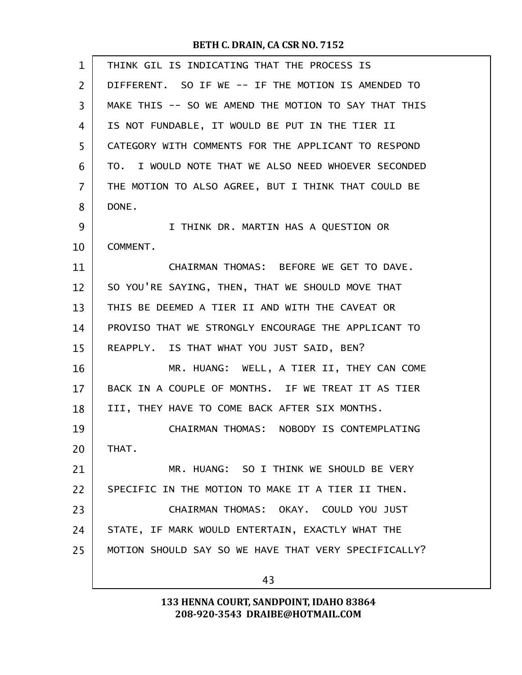| $\mathbf{1}$   | THINK GIL IS INDICATING THAT THE PROCESS IS          |
|----------------|------------------------------------------------------|
| $\overline{2}$ | DIFFERENT. SO IF WE -- IF THE MOTION IS AMENDED TO   |
| 3              | MAKE THIS -- SO WE AMEND THE MOTION TO SAY THAT THIS |
| 4              | IS NOT FUNDABLE, IT WOULD BE PUT IN THE TIER II      |
| 5              | CATEGORY WITH COMMENTS FOR THE APPLICANT TO RESPOND  |
| 6              | TO. I WOULD NOTE THAT WE ALSO NEED WHOEVER SECONDED  |
| 7              | THE MOTION TO ALSO AGREE, BUT I THINK THAT COULD BE  |
| 8              | DONE.                                                |
| 9              | I THINK DR. MARTIN HAS A QUESTION OR                 |
| 10             | COMMENT.                                             |
| 11             | CHAIRMAN THOMAS: BEFORE WE GET TO DAVE.              |
| 12             | SO YOU'RE SAYING, THEN, THAT WE SHOULD MOVE THAT     |
| 13             | THIS BE DEEMED A TIER II AND WITH THE CAVEAT OR      |
| 14             | PROVISO THAT WE STRONGLY ENCOURAGE THE APPLICANT TO  |
| 15             | REAPPLY. IS THAT WHAT YOU JUST SAID, BEN?            |
| 16             | MR. HUANG: WELL, A TIER II, THEY CAN COME            |
| 17             | BACK IN A COUPLE OF MONTHS. IF WE TREAT IT AS TIER   |
| 18             | III, THEY HAVE TO COME BACK AFTER SIX MONTHS.        |
| 19             | CHAIRMAN THOMAS: NOBODY IS CONTEMPLATING             |
| 20             | THAT.                                                |
| 21             | MR. HUANG: SO I THINK WE SHOULD BE VERY              |
| 22             | SPECIFIC IN THE MOTION TO MAKE IT A TIER II THEN.    |
| 23             | CHAIRMAN THOMAS: OKAY. COULD YOU JUST                |
| 24             | STATE, IF MARK WOULD ENTERTAIN, EXACTLY WHAT THE     |
| 25             | MOTION SHOULD SAY SO WE HAVE THAT VERY SPECIFICALLY? |
|                | 43                                                   |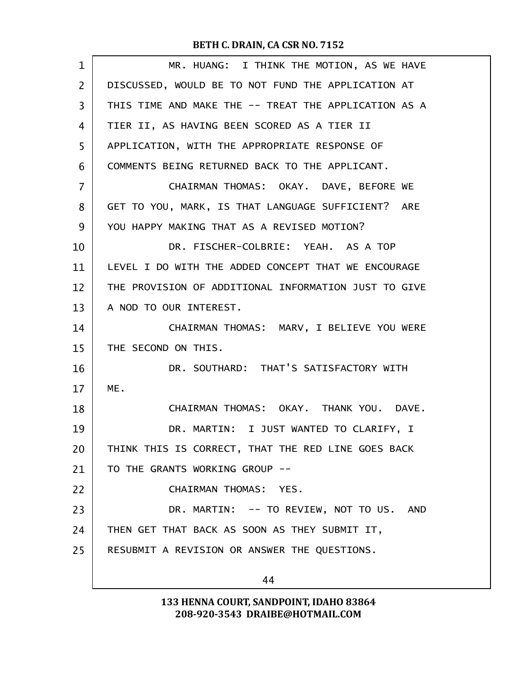| $\mathbf 1$       | MR. HUANG: I THINK THE MOTION, AS WE HAVE            |
|-------------------|------------------------------------------------------|
| $\overline{2}$    | DISCUSSED, WOULD BE TO NOT FUND THE APPLICATION AT   |
| 3                 | THIS TIME AND MAKE THE -- TREAT THE APPLICATION AS A |
| 4                 | TIER II, AS HAVING BEEN SCORED AS A TIER II          |
| 5                 | APPLICATION, WITH THE APPROPRIATE RESPONSE OF        |
| 6                 | COMMENTS BEING RETURNED BACK TO THE APPLICANT.       |
| 7                 | CHAIRMAN THOMAS: OKAY. DAVE, BEFORE WE               |
| 8                 | GET TO YOU, MARK, IS THAT LANGUAGE SUFFICIENT? ARE   |
| 9                 | YOU HAPPY MAKING THAT AS A REVISED MOTION?           |
| 10                | DR. FISCHER-COLBRIE: YEAH. AS A TOP                  |
| 11                | LEVEL I DO WITH THE ADDED CONCEPT THAT WE ENCOURAGE  |
| $12 \overline{ }$ | THE PROVISION OF ADDITIONAL INFORMATION JUST TO GIVE |
| 13                | A NOD TO OUR INTEREST.                               |
| 14                | CHAIRMAN THOMAS: MARV, I BELIEVE YOU WERE            |
| 15                | THE SECOND ON THIS.                                  |
| 16                | DR. SOUTHARD: THAT'S SATISFACTORY WITH               |
| 17                | ME.                                                  |
| 18                | CHAIRMAN THOMAS: OKAY. THANK YOU. DAVE.              |
| 19                | DR. MARTIN: I JUST WANTED TO CLARIFY, I              |
| 20                | THINK THIS IS CORRECT, THAT THE RED LINE GOES BACK   |
| 21                | TO THE GRANTS WORKING GROUP --                       |
| 22                | CHAIRMAN THOMAS: YES.                                |
| 23                | DR. MARTIN: -- TO REVIEW, NOT TO US. AND             |
| 24                | THEN GET THAT BACK AS SOON AS THEY SUBMIT IT,        |
| 25                | RESUBMIT A REVISION OR ANSWER THE QUESTIONS.         |
|                   | 44                                                   |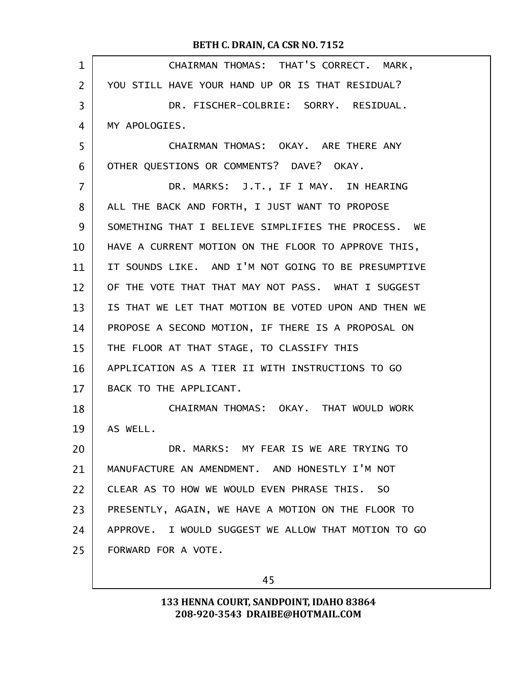| $\mathbf 1$ | CHAIRMAN THOMAS: THAT'S CORRECT. MARK,               |
|-------------|------------------------------------------------------|
| 2           | YOU STILL HAVE YOUR HAND UP OR IS THAT RESIDUAL?     |
| 3           | DR. FISCHER-COLBRIE: SORRY. RESIDUAL.                |
| 4           | MY APOLOGIES.                                        |
| 5           | CHAIRMAN THOMAS: OKAY. ARE THERE ANY                 |
| 6           | OTHER QUESTIONS OR COMMENTS? DAVE? OKAY.             |
| 7           | DR. MARKS: J.T., IF I MAY. IN HEARING                |
| 8           | ALL THE BACK AND FORTH, I JUST WANT TO PROPOSE       |
| 9           | SOMETHING THAT I BELIEVE SIMPLIFIES THE PROCESS. WE  |
| 10          | HAVE A CURRENT MOTION ON THE FLOOR TO APPROVE THIS,  |
| 11          | IT SOUNDS LIKE. AND I'M NOT GOING TO BE PRESUMPTIVE  |
| 12          | OF THE VOTE THAT THAT MAY NOT PASS. WHAT I SUGGEST   |
| 13          | IS THAT WE LET THAT MOTION BE VOTED UPON AND THEN WE |
| 14          | PROPOSE A SECOND MOTION, IF THERE IS A PROPOSAL ON   |
| 15          | THE FLOOR AT THAT STAGE, TO CLASSIFY THIS            |
| 16          | APPLICATION AS A TIER II WITH INSTRUCTIONS TO GO     |
| 17          | BACK TO THE APPLICANT.                               |
| 18          | CHAIRMAN THOMAS: OKAY. THAT WOULD WORK               |
| 19          | AS WELL.                                             |
| 20          | DR. MARKS: MY FEAR IS WE ARE TRYING TO               |
| 21          | MANUFACTURE AN AMENDMENT. AND HONESTLY I'M NOT       |
| 22          | CLEAR AS TO HOW WE WOULD EVEN PHRASE THIS. SO        |
| 23          | PRESENTLY, AGAIN, WE HAVE A MOTION ON THE FLOOR TO   |
| 24          | APPROVE. I WOULD SUGGEST WE ALLOW THAT MOTION TO GO  |
| 25          | FORWARD FOR A VOTE.                                  |
|             |                                                      |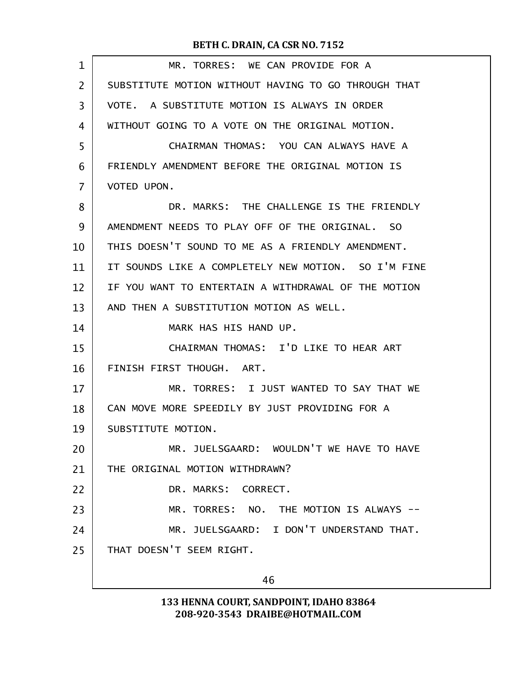| $\mathbf 1$    | MR. TORRES: WE CAN PROVIDE FOR A                    |
|----------------|-----------------------------------------------------|
| $\overline{2}$ | SUBSTITUTE MOTION WITHOUT HAVING TO GO THROUGH THAT |
| 3              | VOTE. A SUBSTITUTE MOTION IS ALWAYS IN ORDER        |
| 4              | WITHOUT GOING TO A VOTE ON THE ORIGINAL MOTION.     |
| 5              | CHAIRMAN THOMAS: YOU CAN ALWAYS HAVE A              |
| 6              | FRIENDLY AMENDMENT BEFORE THE ORIGINAL MOTION IS    |
| 7              | VOTED UPON.                                         |
| 8              | DR. MARKS: THE CHALLENGE IS THE FRIENDLY            |
| 9              | AMENDMENT NEEDS TO PLAY OFF OF THE ORIGINAL, SO     |
| 10             | THIS DOESN'T SOUND TO ME AS A FRIENDLY AMENDMENT.   |
| 11             | IT SOUNDS LIKE A COMPLETELY NEW MOTION. SO I'M FINE |
| 12             | IF YOU WANT TO ENTERTAIN A WITHDRAWAL OF THE MOTION |
| 13             | AND THEN A SUBSTITUTION MOTION AS WELL.             |
| 14             | MARK HAS HIS HAND UP.                               |
| 15             | CHAIRMAN THOMAS: I'D LIKE TO HEAR ART               |
| 16             | FINISH FIRST THOUGH. ART.                           |
| 17             | MR. TORRES: I JUST WANTED TO SAY THAT WE            |
| 18             | CAN MOVE MORE SPEEDILY BY JUST PROVIDING FOR A      |
| 19             | SUBSTITUTE MOTION.                                  |
| 20             | MR. JUELSGAARD: WOULDN'T WE HAVE TO HAVE            |
| 21             | THE ORIGINAL MOTION WITHDRAWN?                      |
| 22             | DR. MARKS: CORRECT.                                 |
| 23             | MR. TORRES: NO. THE MOTION IS ALWAYS --             |
| 24             | MR. JUELSGAARD: I DON'T UNDERSTAND THAT.            |
| 25             | THAT DOESN'T SEEM RIGHT.                            |
|                | 46                                                  |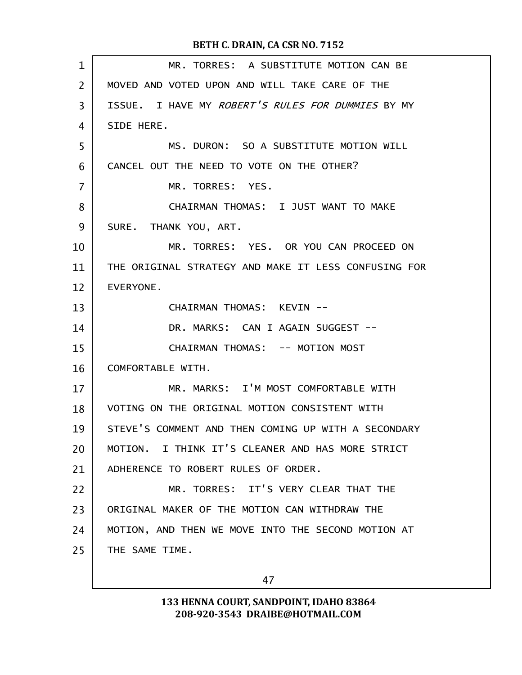| $\mathbf 1$ | MR. TORRES: A SUBSTITUTE MOTION CAN BE               |
|-------------|------------------------------------------------------|
| 2           | MOVED AND VOTED UPON AND WILL TAKE CARE OF THE       |
| 3           | ISSUE. I HAVE MY ROBERT'S RULES FOR DUMMIES BY MY    |
| 4           | SIDE HERE.                                           |
| 5           | MS. DURON: SO A SUBSTITUTE MOTION WILL               |
| 6           | CANCEL OUT THE NEED TO VOTE ON THE OTHER?            |
| 7           | MR. TORRES: YES.                                     |
| 8           | CHAIRMAN THOMAS: I JUST WANT TO MAKE                 |
| 9           | SURE. THANK YOU, ART.                                |
| 10          | MR. TORRES: YES. OR YOU CAN PROCEED ON               |
| 11          | THE ORIGINAL STRATEGY AND MAKE IT LESS CONFUSING FOR |
| 12          | EVERYONE.                                            |
| 13          | CHAIRMAN THOMAS: KEVIN --                            |
| 14          | DR. MARKS: CAN I AGAIN SUGGEST --                    |
| 15          | CHAIRMAN THOMAS: -- MOTION MOST                      |
| 16          | COMFORTABLE WITH.                                    |
| 17          | MR. MARKS: I'M MOST COMFORTABLE WITH                 |
| 18          | VOTING ON THE ORIGINAL MOTION CONSISTENT WITH        |
| 19          | STEVE'S COMMENT AND THEN COMING UP WITH A SECONDARY  |
| 20          | MOTION. I THINK IT'S CLEANER AND HAS MORE STRICT     |
| 21          | ADHERENCE TO ROBERT RULES OF ORDER.                  |
| 22          | MR. TORRES: IT'S VERY CLEAR THAT THE                 |
| 23          | ORIGINAL MAKER OF THE MOTION CAN WITHDRAW THE        |
| 24          | MOTION, AND THEN WE MOVE INTO THE SECOND MOTION AT   |
| 25          | THE SAME TIME.                                       |
|             |                                                      |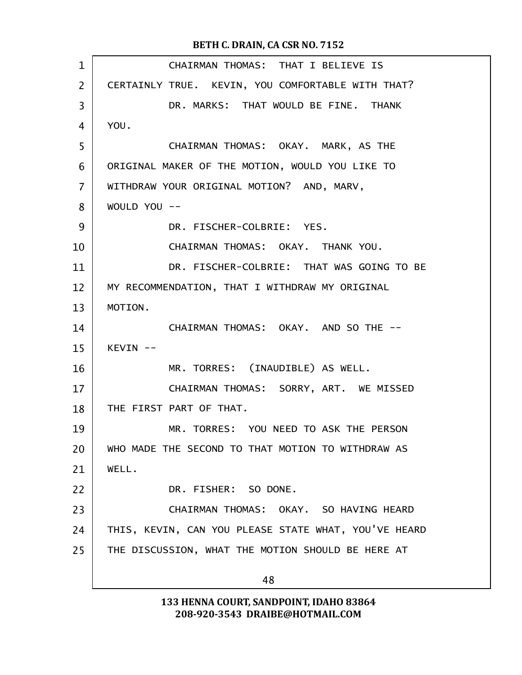| $\mathbf 1$    | CHAIRMAN THOMAS: THAT I BELIEVE IS                   |
|----------------|------------------------------------------------------|
| $\overline{2}$ | CERTAINLY TRUE. KEVIN, YOU COMFORTABLE WITH THAT?    |
| 3              | DR. MARKS: THAT WOULD BE FINE. THANK                 |
| 4              | YOU.                                                 |
| 5              | CHAIRMAN THOMAS: OKAY. MARK, AS THE                  |
| 6              | ORIGINAL MAKER OF THE MOTION, WOULD YOU LIKE TO      |
| 7              | WITHDRAW YOUR ORIGINAL MOTION? AND, MARV,            |
| 8              | WOULD YOU --                                         |
| 9              | DR. FISCHER-COLBRIE: YES.                            |
| 10             | CHAIRMAN THOMAS: OKAY. THANK YOU.                    |
| 11             | DR. FISCHER-COLBRIE: THAT WAS GOING TO BE            |
| 12             | MY RECOMMENDATION, THAT I WITHDRAW MY ORIGINAL       |
| 13             | MOTION.                                              |
| 14             | CHAIRMAN THOMAS: OKAY. AND SO THE --                 |
| 15             | KEVIN --                                             |
| 16             | MR. TORRES: (INAUDIBLE) AS WELL.                     |
| 17             | CHAIRMAN THOMAS: SORRY, ART. WE MISSED               |
| 18             | THE FIRST PART OF THAT.                              |
| 19             | MR. TORRES: YOU NEED TO ASK THE PERSON               |
| 20             | WHO MADE THE SECOND TO THAT MOTION TO WITHDRAW AS    |
| 21             | WELL.                                                |
| 22             | DR. FISHER: SO DONE.                                 |
| 23             | CHAIRMAN THOMAS: OKAY. SO HAVING HEARD               |
| 24             | THIS, KEVIN, CAN YOU PLEASE STATE WHAT, YOU'VE HEARD |
| 25             | THE DISCUSSION, WHAT THE MOTION SHOULD BE HERE AT    |
|                | 48                                                   |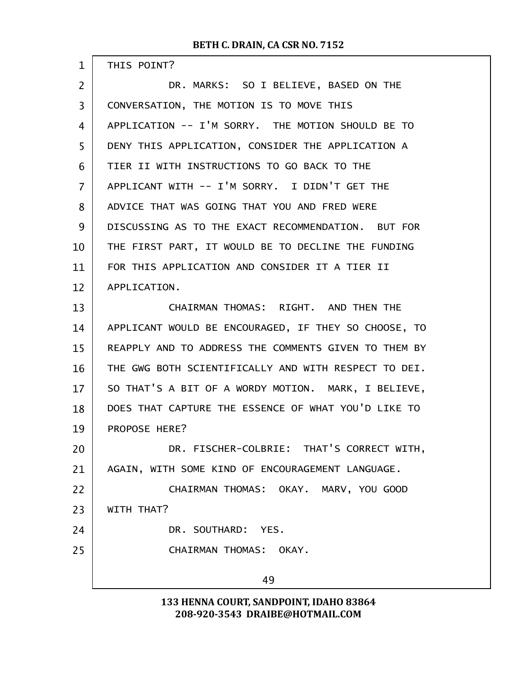| $\mathbf{1}$ | THIS POINT?                                          |  |  |  |
|--------------|------------------------------------------------------|--|--|--|
| 2            | DR. MARKS: SO I BELIEVE, BASED ON THE                |  |  |  |
| 3            | CONVERSATION, THE MOTION IS TO MOVE THIS             |  |  |  |
| 4            | APPLICATION -- I'M SORRY. THE MOTION SHOULD BE TO    |  |  |  |
| 5            | DENY THIS APPLICATION, CONSIDER THE APPLICATION A    |  |  |  |
| 6            | TIER II WITH INSTRUCTIONS TO GO BACK TO THE          |  |  |  |
| 7            | APPLICANT WITH -- I'M SORRY. I DIDN'T GET THE        |  |  |  |
| 8            | ADVICE THAT WAS GOING THAT YOU AND FRED WERE         |  |  |  |
| 9            | DISCUSSING AS TO THE EXACT RECOMMENDATION. BUT FOR   |  |  |  |
| 10           | THE FIRST PART, IT WOULD BE TO DECLINE THE FUNDING   |  |  |  |
| 11           | FOR THIS APPLICATION AND CONSIDER IT A TIER II       |  |  |  |
| 12           | APPLICATION.                                         |  |  |  |
| 13           | CHAIRMAN THOMAS: RIGHT. AND THEN THE                 |  |  |  |
| 14           | APPLICANT WOULD BE ENCOURAGED, IF THEY SO CHOOSE, TO |  |  |  |
| 15           | REAPPLY AND TO ADDRESS THE COMMENTS GIVEN TO THEM BY |  |  |  |
| 16           | THE GWG BOTH SCIENTIFICALLY AND WITH RESPECT TO DEI. |  |  |  |
| 17           | SO THAT'S A BIT OF A WORDY MOTION. MARK, I BELIEVE,  |  |  |  |
| 18           | DOES THAT CAPTURE THE ESSENCE OF WHAT YOU'D LIKE TO  |  |  |  |
| 19           | PROPOSE HERE?                                        |  |  |  |
| 20           | DR. FISCHER-COLBRIE: THAT'S CORRECT WITH,            |  |  |  |
| 21           | AGAIN, WITH SOME KIND OF ENCOURAGEMENT LANGUAGE.     |  |  |  |
| 22           | CHAIRMAN THOMAS: OKAY. MARV, YOU GOOD                |  |  |  |
| 23           | WITH THAT?                                           |  |  |  |
| 24           | DR. SOUTHARD: YES.                                   |  |  |  |
| 25           | CHAIRMAN THOMAS: OKAY.                               |  |  |  |
|              | 49                                                   |  |  |  |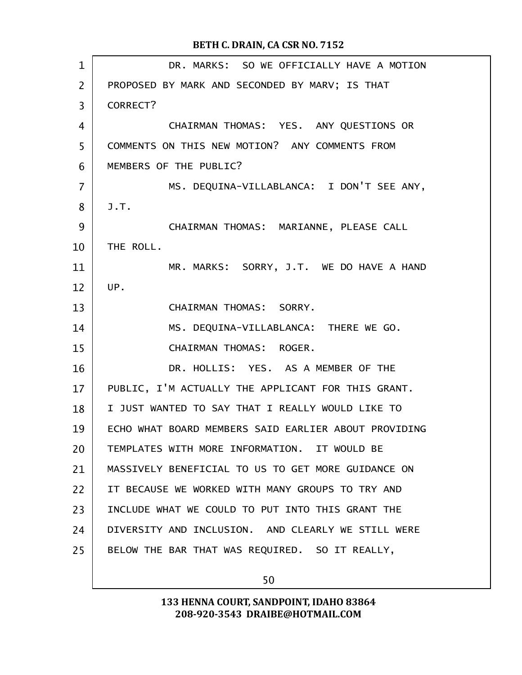| $\mathbf 1$    | DR. MARKS: SO WE OFFICIALLY HAVE A MOTION            |  |  |
|----------------|------------------------------------------------------|--|--|
| $\overline{2}$ | PROPOSED BY MARK AND SECONDED BY MARV; IS THAT       |  |  |
| 3              | CORRECT?                                             |  |  |
| $\overline{4}$ | CHAIRMAN THOMAS: YES. ANY QUESTIONS OR               |  |  |
| 5              | COMMENTS ON THIS NEW MOTION? ANY COMMENTS FROM       |  |  |
| 6              | MEMBERS OF THE PUBLIC?                               |  |  |
| $\overline{7}$ | MS. DEQUINA-VILLABLANCA: I DON'T SEE ANY.            |  |  |
| 8              | J.T.                                                 |  |  |
| 9              | CHAIRMAN THOMAS: MARIANNE, PLEASE CALL               |  |  |
| 10             | THE ROLL.                                            |  |  |
| 11             | MR. MARKS: SORRY, J.T. WE DO HAVE A HAND             |  |  |
| 12             | UP.                                                  |  |  |
| 13             | CHAIRMAN THOMAS: SORRY.                              |  |  |
| 14             | MS. DEQUINA-VILLABLANCA: THERE WE GO.                |  |  |
| 15             | CHAIRMAN THOMAS: ROGER.                              |  |  |
| 16             | DR. HOLLIS: YES. AS A MEMBER OF THE                  |  |  |
| 17             | PUBLIC, I'M ACTUALLY THE APPLICANT FOR THIS GRANT.   |  |  |
| 18             | I JUST WANTED TO SAY THAT I REALLY WOULD LIKE TO     |  |  |
| 19             | ECHO WHAT BOARD MEMBERS SAID EARLIER ABOUT PROVIDING |  |  |
| 20             | TEMPLATES WITH MORE INFORMATION. IT WOULD BE         |  |  |
| 21             | MASSIVELY BENEFICIAL TO US TO GET MORE GUIDANCE ON   |  |  |
| 22             | IT BECAUSE WE WORKED WITH MANY GROUPS TO TRY AND     |  |  |
| 23             | INCLUDE WHAT WE COULD TO PUT INTO THIS GRANT THE     |  |  |
| 24             | DIVERSITY AND INCLUSION. AND CLEARLY WE STILL WERE   |  |  |
| 25             | BELOW THE BAR THAT WAS REQUIRED. SO IT REALLY,       |  |  |
|                |                                                      |  |  |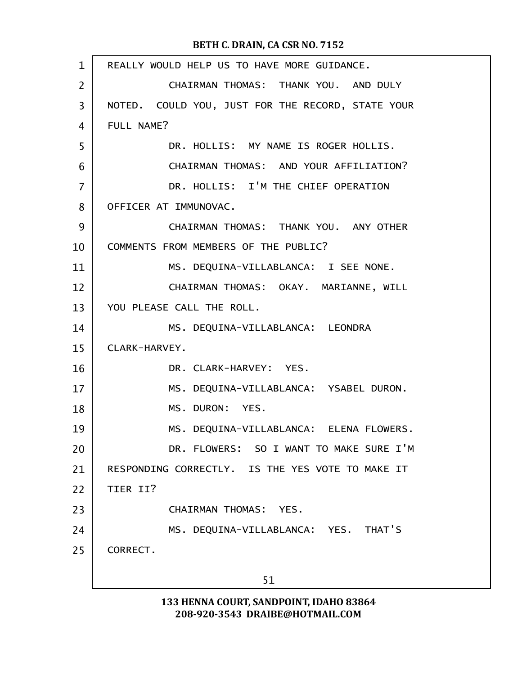| $\mathbf{1}$   | REALLY WOULD HELP US TO HAVE MORE GUIDANCE.       |  |  |  |
|----------------|---------------------------------------------------|--|--|--|
| $\overline{2}$ | CHAIRMAN THOMAS: THANK YOU. AND DULY              |  |  |  |
| 3              | NOTED. COULD YOU, JUST FOR THE RECORD, STATE YOUR |  |  |  |
| 4              | FULL NAME?                                        |  |  |  |
| 5              | DR. HOLLIS: MY NAME IS ROGER HOLLIS.              |  |  |  |
| 6              | CHAIRMAN THOMAS: AND YOUR AFFILIATION?            |  |  |  |
| $\overline{7}$ | DR. HOLLIS: I'M THE CHIEF OPERATION               |  |  |  |
| 8              | OFFICER AT IMMUNOVAC.                             |  |  |  |
| 9              | CHAIRMAN THOMAS: THANK YOU. ANY OTHER             |  |  |  |
| 10             | COMMENTS FROM MEMBERS OF THE PUBLIC?              |  |  |  |
| 11             | MS. DEQUINA-VILLABLANCA: I SEE NONE.              |  |  |  |
| 12             | CHAIRMAN THOMAS: OKAY. MARIANNE, WILL             |  |  |  |
| 13             | YOU PLEASE CALL THE ROLL.                         |  |  |  |
| 14             | MS. DEQUINA-VILLABLANCA: LEONDRA                  |  |  |  |
| 15             | CLARK-HARVEY.                                     |  |  |  |
| 16             | DR. CLARK-HARVEY: YES.                            |  |  |  |
| 17             | MS. DEQUINA-VILLABLANCA: YSABEL DURON.            |  |  |  |
| 18             | MS. DURON: YES.                                   |  |  |  |
| 19             | MS. DEQUINA-VILLABLANCA: ELENA FLOWERS.           |  |  |  |
| 20             | DR. FLOWERS: SO I WANT TO MAKE SURE I'M           |  |  |  |
| 21             | RESPONDING CORRECTLY. IS THE YES VOTE TO MAKE IT  |  |  |  |
| 22             | TIER II?                                          |  |  |  |
| 23             | CHAIRMAN THOMAS: YES.                             |  |  |  |
| 24             | MS. DEQUINA-VILLABLANCA: YES. THAT'S              |  |  |  |
| 25             | CORRECT.                                          |  |  |  |
|                | 51                                                |  |  |  |
|                |                                                   |  |  |  |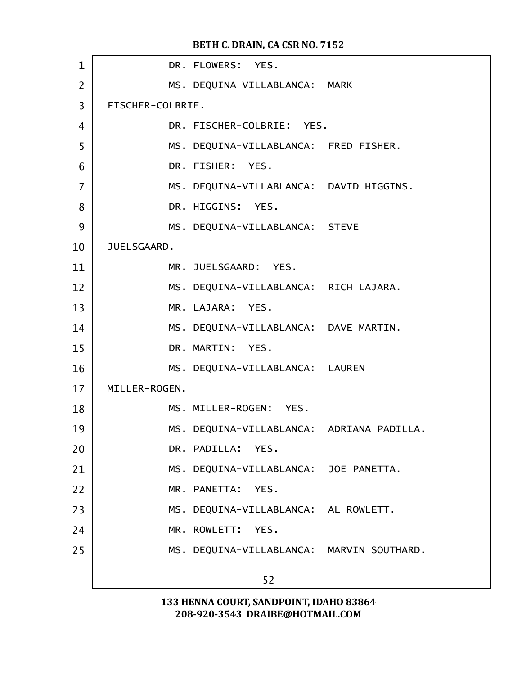| JUELSGAARD.   |    |                                                                                                                                                                                                                                                                                                                                                                                                                                                                                                                                                                                                                                                                                                                             |
|---------------|----|-----------------------------------------------------------------------------------------------------------------------------------------------------------------------------------------------------------------------------------------------------------------------------------------------------------------------------------------------------------------------------------------------------------------------------------------------------------------------------------------------------------------------------------------------------------------------------------------------------------------------------------------------------------------------------------------------------------------------------|
|               |    |                                                                                                                                                                                                                                                                                                                                                                                                                                                                                                                                                                                                                                                                                                                             |
|               |    |                                                                                                                                                                                                                                                                                                                                                                                                                                                                                                                                                                                                                                                                                                                             |
|               |    |                                                                                                                                                                                                                                                                                                                                                                                                                                                                                                                                                                                                                                                                                                                             |
|               |    |                                                                                                                                                                                                                                                                                                                                                                                                                                                                                                                                                                                                                                                                                                                             |
|               |    |                                                                                                                                                                                                                                                                                                                                                                                                                                                                                                                                                                                                                                                                                                                             |
|               |    |                                                                                                                                                                                                                                                                                                                                                                                                                                                                                                                                                                                                                                                                                                                             |
| MILLER-ROGEN. |    |                                                                                                                                                                                                                                                                                                                                                                                                                                                                                                                                                                                                                                                                                                                             |
|               |    |                                                                                                                                                                                                                                                                                                                                                                                                                                                                                                                                                                                                                                                                                                                             |
|               |    |                                                                                                                                                                                                                                                                                                                                                                                                                                                                                                                                                                                                                                                                                                                             |
|               |    |                                                                                                                                                                                                                                                                                                                                                                                                                                                                                                                                                                                                                                                                                                                             |
|               |    |                                                                                                                                                                                                                                                                                                                                                                                                                                                                                                                                                                                                                                                                                                                             |
|               |    |                                                                                                                                                                                                                                                                                                                                                                                                                                                                                                                                                                                                                                                                                                                             |
|               |    |                                                                                                                                                                                                                                                                                                                                                                                                                                                                                                                                                                                                                                                                                                                             |
|               |    |                                                                                                                                                                                                                                                                                                                                                                                                                                                                                                                                                                                                                                                                                                                             |
|               |    |                                                                                                                                                                                                                                                                                                                                                                                                                                                                                                                                                                                                                                                                                                                             |
|               | 52 |                                                                                                                                                                                                                                                                                                                                                                                                                                                                                                                                                                                                                                                                                                                             |
|               |    | DR. FLOWERS: YES.<br>MS. DEQUINA-VILLABLANCA: MARK<br>FISCHER-COLBRIE.<br>DR. FISCHER-COLBRIE: YES.<br>MS. DEQUINA-VILLABLANCA: FRED FISHER.<br>DR. FISHER: YES.<br>MS. DEQUINA-VILLABLANCA: DAVID HIGGINS.<br>DR. HIGGINS: YES.<br>MS. DEQUINA-VILLABLANCA: STEVE<br>MR. JUELSGAARD: YES.<br>MS. DEQUINA-VILLABLANCA: RICH LAJARA.<br>MR. LAJARA: YES.<br>MS. DEQUINA-VILLABLANCA: DAVE MARTIN.<br>DR. MARTIN: YES.<br>MS. DEQUINA-VILLABLANCA: LAUREN<br>MS. MILLER-ROGEN: YES.<br>MS. DEQUINA-VILLABLANCA: ADRIANA PADILLA.<br>DR. PADILLA: YES.<br>MS. DEQUINA-VILLABLANCA: JOE PANETTA.<br>MR. PANETTA: YES.<br>MS. DEQUINA-VILLABLANCA: AL ROWLETT.<br>MR. ROWLETT: YES.<br>MS. DEQUINA-VILLABLANCA: MARVIN SOUTHARD. |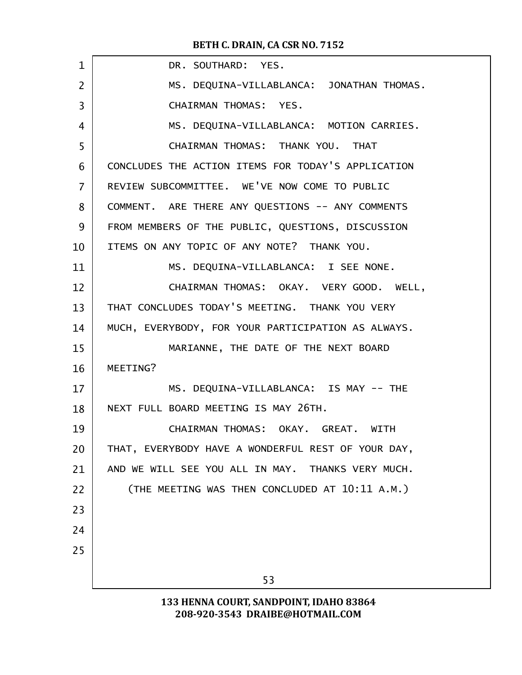| $\mathbf 1$    | DR. SOUTHARD: YES.                                 |  |  |  |
|----------------|----------------------------------------------------|--|--|--|
| 2              | MS. DEQUINA-VILLABLANCA: JONATHAN THOMAS.          |  |  |  |
| 3              | CHAIRMAN THOMAS: YES.                              |  |  |  |
| 4              | MS. DEQUINA-VILLABLANCA: MOTION CARRIES.           |  |  |  |
| 5              | CHAIRMAN THOMAS: THANK YOU. THAT                   |  |  |  |
| 6              | CONCLUDES THE ACTION ITEMS FOR TODAY'S APPLICATION |  |  |  |
| $\overline{7}$ | REVIEW SUBCOMMITTEE. WE'VE NOW COME TO PUBLIC      |  |  |  |
| 8              | COMMENT. ARE THERE ANY QUESTIONS -- ANY COMMENTS   |  |  |  |
| 9              | FROM MEMBERS OF THE PUBLIC, QUESTIONS, DISCUSSION  |  |  |  |
| 10             | ITEMS ON ANY TOPIC OF ANY NOTE? THANK YOU.         |  |  |  |
| 11             | MS. DEQUINA-VILLABLANCA: I SEE NONE.               |  |  |  |
| 12             | CHAIRMAN THOMAS: OKAY. VERY GOOD. WELL,            |  |  |  |
| 13             | THAT CONCLUDES TODAY'S MEETING. THANK YOU VERY     |  |  |  |
| 14             | MUCH, EVERYBODY, FOR YOUR PARTICIPATION AS ALWAYS. |  |  |  |
| 15             | MARIANNE, THE DATE OF THE NEXT BOARD               |  |  |  |
| 16             | MEETING?                                           |  |  |  |
| 17             | MS. DEQUINA-VILLABLANCA: IS MAY -- THE             |  |  |  |
| 18             | NEXT FULL BOARD MEETING IS MAY 26TH.               |  |  |  |
| 19             | CHAIRMAN THOMAS: OKAY. GREAT. WITH                 |  |  |  |
| 20             | THAT, EVERYBODY HAVE A WONDERFUL REST OF YOUR DAY, |  |  |  |
| 21             | AND WE WILL SEE YOU ALL IN MAY. THANKS VERY MUCH.  |  |  |  |
| 22             | (THE MEETING WAS THEN CONCLUDED AT 10:11 A.M.)     |  |  |  |
| 23             |                                                    |  |  |  |
| 24             |                                                    |  |  |  |
| 25             |                                                    |  |  |  |
|                | 53                                                 |  |  |  |
|                | 133 HENNA COURT, SANDPOINT, IDAHO 83864            |  |  |  |
|                |                                                    |  |  |  |

208-920-3543 DRAIBE@HOTMAIL.COM